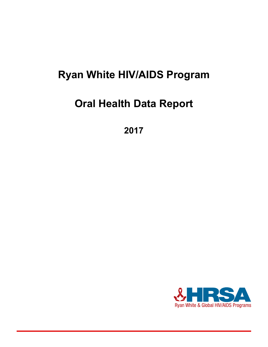## **Ryan White HIV/AIDS Program**

# **Oral Health Data Report**

**2017**

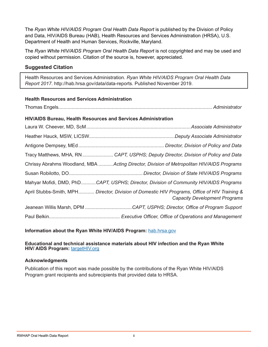The *Ryan White HIV/AIDS Program Oral Health Data Report* is published by the Division of Policy and Data, HIV/AIDS Bureau (HAB), Health Resources and Services Administration (HRSA), U.S. Department of Health and Human Services, Rockville, Maryland.

The *Ryan White HIV/AIDS Program Oral Health Data Report* is not copyrighted and may be used and copied without permission. Citation of the source is, however, appreciated.

#### **Suggested Citation**

Health Resources and Services Administration. *Ryan White HIV/AIDS Program Oral Health Data Report 2017*. [http://hab.hrsa.gov/data/data-reports.](https://hab.hrsa.gov/data/data-reports) Published November 2019.

#### **Health Resources and Services Administration**

Thomas Engels*................................................................................................................... Administrator*

#### **HIV/AIDS Bureau, Health Resources and Services Administration**

| Tracy Matthews, MHA, RN CAPT, USPHS; Deputy Director, Division of Policy and Data                                                     |
|---------------------------------------------------------------------------------------------------------------------------------------|
| Chrissy Abrahms Woodland, MBA Acting Director, Division of Metropolitan HIV/AIDS Programs                                             |
|                                                                                                                                       |
| Mahyar Mofidi, DMD, PhDCAPT, USPHS; Director, Division of Community HIV/AIDS Programs                                                 |
| April Stubbs-Smith, MPH Director, Division of Domestic HIV Programs, Office of HIV Training &<br><b>Capacity Development Programs</b> |
|                                                                                                                                       |
|                                                                                                                                       |

**Information about the Ryan White HIV/AIDS Program:** [hab.hrsa.gov](http://hab.hrsa.gov)

#### **Educational and technical assistance materials about HIV infection and the Ryan White HIV/ AIDS Program:** [targetHIV.org](http://targetHIV.org)

#### **Acknowledgments**

Publication of this report was made possible by the contributions of the Ryan White HIV/AIDS Program grant recipients and subrecipients that provided data to HRSA.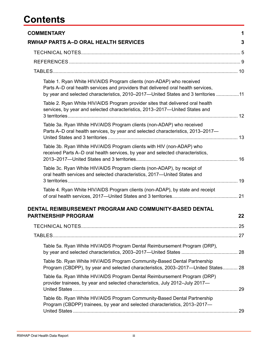### **Contents**

| <b>COMMENTARY</b>                                                                                                                                                                                                                               | 1  |
|-------------------------------------------------------------------------------------------------------------------------------------------------------------------------------------------------------------------------------------------------|----|
| <b>RWHAP PARTS A–D ORAL HEALTH SERVICES</b>                                                                                                                                                                                                     | 3  |
|                                                                                                                                                                                                                                                 |    |
|                                                                                                                                                                                                                                                 |    |
|                                                                                                                                                                                                                                                 |    |
| Table 1. Ryan White HIV/AIDS Program clients (non-ADAP) who received<br>Parts A-D oral health services and providers that delivered oral health services,<br>by year and selected characteristics, 2010-2017-United States and 3 territories 11 |    |
| Table 2. Ryan White HIV/AIDS Program provider sites that delivered oral health<br>services, by year and selected characteristics, 2013-2017-United States and                                                                                   |    |
| Table 3a. Ryan White HIV/AIDS Program clients (non-ADAP) who received<br>Parts A-D oral health services, by year and selected characteristics, 2013-2017-                                                                                       |    |
| Table 3b. Ryan White HIV/AIDS Program clients with HIV (non-ADAP) who<br>received Parts A-D oral health services, by year and selected characteristics,                                                                                         |    |
| Table 3c. Ryan White HIV/AIDS Program clients (non-ADAP), by receipt of<br>oral health services and selected characteristics, 2017-United States and                                                                                            |    |
| Table 4. Ryan White HIV/AIDS Program clients (non-ADAP), by state and receipt                                                                                                                                                                   |    |
| DENTAL REIMBURSEMENT PROGRAM AND COMMUNITY-BASED DENTAL<br><b>PARTNERSHIP PROGRAM</b>                                                                                                                                                           | 22 |
|                                                                                                                                                                                                                                                 |    |
|                                                                                                                                                                                                                                                 |    |
| Table 5a. Ryan White HIV/AIDS Program Dental Reimbursement Program (DRP),                                                                                                                                                                       |    |
| Table 5b. Ryan White HIV/AIDS Program Community-Based Dental Partnership<br>Program (CBDPP), by year and selected characteristics, 2003-2017-United States 28                                                                                   |    |
| Table 6a. Ryan White HIV/AIDS Program Dental Reimbursement Program (DRP)<br>provider trainees, by year and selected characteristics, July 2012-July 2017-                                                                                       |    |
| Table 6b. Ryan White HIV/AIDS Program Community-Based Dental Partnership<br>Program (CBDPP) trainees, by year and selected characteristics, 2013–2017–                                                                                          |    |
|                                                                                                                                                                                                                                                 |    |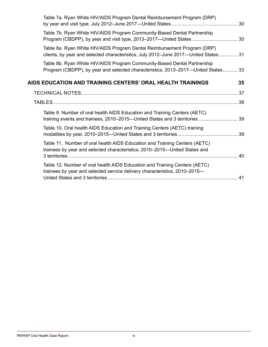| Table 7a. Ryan White HIV/AIDS Program Dental Reimbursement Program (DRP)                                                                                        |    |
|-----------------------------------------------------------------------------------------------------------------------------------------------------------------|----|
| Table 7b. Ryan White HIV/AIDS Program Community-Based Dental Partnership<br>Program (CBDPP), by year and visit type, 2013–2017—United States  30                |    |
| Table 8a. Ryan White HIV/AIDS Program Dental Reimbursement Program (DRP)<br>clients, by year and selected characteristics, July 2012-June 2017-United States 31 |    |
| Table 8b. Ryan White HIV/AIDS Program Community-Based Dental Partnership<br>Program (CBDPP), by year and selected characteristics, 2013-2017-United States 33   |    |
| AIDS EDUCATION AND TRAINING CENTERS' ORAL HEALTH TRAININGS                                                                                                      | 35 |
|                                                                                                                                                                 |    |
|                                                                                                                                                                 |    |
| Table 9. Number of oral health AIDS Education and Training Centers (AETC)<br>training events and trainees, 2010–2015—United States and 3 territories  39        |    |
| Table 10. Oral health AIDS Education and Training Centers (AETC) training                                                                                       |    |
| Table 11. Number of oral health AIDS Education and Training Centers (AETC)<br>trainees by year and selected characteristics, 2010–2015—United States and        |    |
| Table 12. Number of oral health AIDS Education and Training Centers (AETC)<br>trainees by year and selected service delivery characteristics, 2010-2015-        |    |
|                                                                                                                                                                 |    |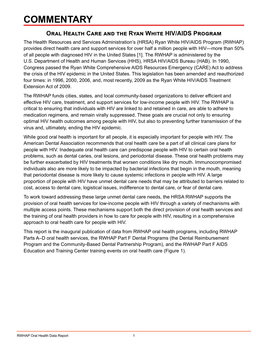### <span id="page-4-0"></span>**COMMENTARY**

#### **Oral Health Care and the Ryan White HIV/AIDS Program**

The Health Resources and Services Administration's (HRSA) Ryan White HIV/AIDS Program (RWHAP) provides direct health care and support services for over half a million people with HIV—more than 50% of all people with diagnosed HIV in the United States [1]. The RWHAP is administered by the U.S. Department of Health and Human Services (HHS), HRSA HIV/AIDS Bureau (HAB). In 1990, Congress passed the Ryan White Comprehensive AIDS Resources Emergency (CARE) Act to address the crisis of the HIV epidemic in the United States. This legislation has been amended and reauthorized four times: in 1996, 2000, 2006, and, most recently, 2009 as the Ryan White HIV/AIDS Treatment Extension Act of 2009.

The RWHAP funds cities, states, and local community-based organizations to deliver efficient and effective HIV care, treatment, and support services for low-income people with HIV. The RWHAP is critical to ensuring that individuals with HIV are linked to and retained in care, are able to adhere to medication regimens, and remain virally suppressed. These goals are crucial not only to ensuring optimal HIV health outcomes among people with HIV, but also to preventing further transmission of the virus and, ultimately, ending the HIV epidemic.

While good oral health is important for all people, it is especially important for people with HIV. The American Dental Association recommends that oral health care be a part of all clinical care plans for people with HIV. Inadequate oral health care can predispose people with HIV to certain oral health problems, such as dental caries, oral lesions, and periodontal disease. These oral health problems may be further exacerbated by HIV treatments that worsen conditions like dry mouth. Immunocompromised individuals also are more likely to be impacted by bacterial infections that begin in the mouth, meaning that periodontal disease is more likely to cause systemic infections in people with HIV. A large proportion of people with HIV have unmet dental care needs that may be attributed to barriers related to cost, access to dental care, logistical issues, indifference to dental care, or fear of dental care.

To work toward addressing these large unmet dental care needs, the HRSA RWHAP supports the provision of oral health services for low-income people with HIV through a variety of mechanisms with multiple access points. These mechanisms support both the direct provision of oral health services and the training of oral health providers in how to care for people with HIV, resulting in a comprehensive approach to oral health care for people with HIV.

This report is the inaugural publication of data from RWHAP oral health programs, including RWHAP Parts A–D oral health services, the RWHAP Part F Dental Programs (the Dental Reimbursement Program and the Community-Based Dental Partnership Program), and the RWHAP Part F AIDS Education and Training Center training events on oral health care (Figure 1).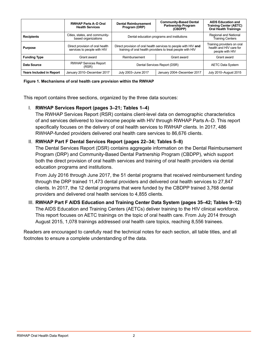|                          | <b>RWHAP Parts A-D Oral</b><br><b>Health Services</b>          | <b>Dental Reimbursement</b><br>Program (DRP) | <b>Community-Based Dental</b><br><b>Partnership Program</b><br>(CBDPP)                                                        | <b>AIDS Education and</b><br><b>Training Center (AETC)</b><br><b>Oral Health Trainings</b> |  |  |  |  |
|--------------------------|----------------------------------------------------------------|----------------------------------------------|-------------------------------------------------------------------------------------------------------------------------------|--------------------------------------------------------------------------------------------|--|--|--|--|
| <b>Recipients</b>        | Cities, states, and community-<br>based organizations          | Dental education programs and institutions   | Regional and National<br>Training Centers                                                                                     |                                                                                            |  |  |  |  |
| <b>Purpose</b>           | Direct provision of oral health<br>services to people with HIV |                                              | Direct provision of oral health services to people with HIV and<br>training of oral health providers to treat people with HIV |                                                                                            |  |  |  |  |
| <b>Funding Type</b>      | Grant award                                                    | Reimbursement                                | Grant award                                                                                                                   | Grant award                                                                                |  |  |  |  |
| Data Source              | <b>RWHAP Services Report</b><br>(RSR)                          | Dental Services Report (DSR)                 | <b>AETC Data System</b>                                                                                                       |                                                                                            |  |  |  |  |
| Years Included in Report | January 2010-December 2017                                     | July 2003-June 2017                          | January 2004-December 2017                                                                                                    | July 2010-August 2015                                                                      |  |  |  |  |

#### **Figure 1. Mechanisms of oral health care provision within the RWHAP**

This report contains three sections, organized by the three data sources:

#### I. **RWHAP Services Report (pages 3–21; Tables 1–4)**

The RWHAP Services Report (RSR) contains client-level data on demographic characteristics of and services delivered to low-income people with HIV through RWHAP Parts A–D. This report specifically focuses on the delivery of oral health services to RWHAP clients. In 2017, 486 RWHAP-funded providers delivered oral health care services to 86,676 clients.

#### II. **RWHAP Part F Dental Services Report (pages 22–34; Tables 5–8)**

The Dental Services Report (DSR) contains aggregate information on the Dental Reimbursement Program (DRP) and Community-Based Dental Partnership Program (CBDPP), which support both the direct provision of oral health services and training of oral health providers via dental education programs and institutions.

From July 2016 through June 2017, the 51 dental programs that received reimbursement funding through the DRP trained 11,473 dental providers and delivered oral health services to 27,847 clients. In 2017, the 12 dental programs that were funded by the CBDPP trained 3,768 dental providers and delivered oral health services to 4,855 clients.

#### III. **RWHAP Part F AIDS Education and Training Center Data System (pages 35–42; Tables 9–12)**  The AIDS Education and Training Centers (AETCs) deliver training to the HIV clinical workforce. This report focuses on AETC trainings on the topic of oral health care. From July 2014 through August 2015, 1,078 trainings addressed oral health care topics, reaching 8,556 trainees.

Readers are encouraged to carefully read the technical notes for each section, all table titles, and all footnotes to ensure a complete understanding of the data.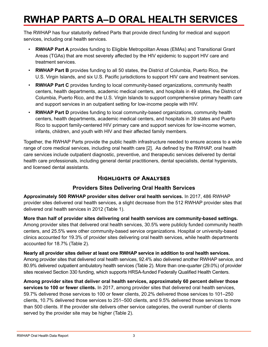# <span id="page-6-0"></span>**RWHAP PARTS A–D ORAL HEALTH SERVICES**

The RWHAP has four statutorily defined Parts that provide direct funding for medical and support services, including oral health services.

- **RWHAP Part A** provides funding to Eligible Metropolitan Areas (EMAs) and Transitional Grant Areas (TGAs) that are most severely affected by the HIV epidemic to support HIV care and treatment services.
- **RWHAP Part B** provides funding to all 50 states, the District of Columbia, Puerto Rico, the U.S. Virgin Islands, and six U.S. Pacific jurisdictions to support HIV care and treatment services.
- **RWHAP Part C** provides funding to local community-based organizations, community health centers, health departments, academic medical centers, and hospitals in 49 states, the District of Columbia, Puerto Rico, and the U.S. Virgin Islands to support comprehensive primary health care and support services in an outpatient setting for low-income people with HIV.
- **RWHAP Part D** provides funding to local community-based organizations, community health centers, health departments, academic medical centers, and hospitals in 39 states and Puerto Rico to support family-centered HIV primary care and support services for low-income women, infants, children, and youth with HIV and their affected family members.

Together, the RWHAP Parts provide the public health infrastructure needed to ensure access to a wide range of core medical services, including oral health care [2]. As defined by the RWHAP, oral health care services include outpatient diagnostic, preventive, and therapeutic services delivered by dental health care professionals, including general dental practitioners, dental specialists, dental hygienists, and licensed dental assistants.

### **Highlights of Analyses**

#### **Providers Sites Delivering Oral Health Services**

**Approximately 500 RWHAP provider sites deliver oral health services.** In 2017, 486 RWHAP provider sites delivered oral health services, a slight decrease from the 512 RWHAP provider sites that delivered oral health services in 2012 (Table 1).

**More than half of provider sites delivering oral health services are community-based settings.** Among provider sites that delivered oral health services, 30.5% were publicly funded community health centers, and 25.5% were other community-based service organizations. Hospital or university-based clinics accounted for 19.3% of provider sites delivering oral health services, while health departments accounted for 18.7% (Table 2).

**Nearly all provider sites deliver at least one RWHAP service in addition to oral health services.** Among provider sites that delivered oral health services, 92.4% also delivered another RWHAP service, and 80.9% delivered outpatient ambulatory health services (Table 2). More than one-quarter (29.0%) of provider sites received Section 330 funding, which supports HRSA-funded Federally Qualified Health Centers.

**Among provider sites that deliver oral health services, approximately 60 percent deliver those services to 100 or fewer clients.** In 2017, among provider sites that delivered oral health services, 59.7% delivered those services to 100 or fewer clients, 20.2% delivered those services to 101–250 clients, 10.7% delivered those services to 251–500 clients, and 9.5% delivered those services to more than 500 clients. If the provider site delivers other service categories, the overall number of clients served by the provider site may be higher (Table 2).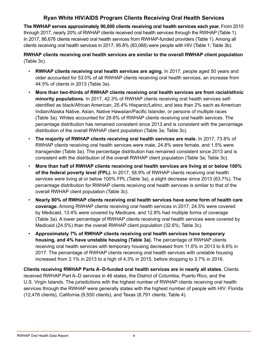#### **Ryan White HIV/AIDS Program Clients Receiving Oral Health Services**

**The RWHAP serves approximately 90,000 clients receiving oral health services each year.** From 2010 through 2017, nearly 20% of RWHAP clients received oral health services through the RWHAP (Table 1). In 2017, 86,676 clients received oral health services from RWHAP-funded providers (Table 1). Among all clients receiving oral health services in 2017, 95.8% (83,068) were people with HIV (Table 1; Table 3b).

**RWHAP clients receiving oral health services are similar to the overall RWHAP client population**  (Table 3c).

- **RWHAP clients receiving oral health services are aging.** In 2017, people aged 50 years and older accounted for 53.0% of all RWHAP clients receiving oral health services, an increase from 44.5% of clients in 2013 (Table 3a).
- **More than two-thirds of RWHAP clients receiving oral health services are from racial/ethnic minority populations.** In 2017, 42.3% of RWHAP clients receiving oral health services selfidentified as black/African American, 25.4% Hispanic/Latino, and less than 2% each as American Indian/Alaska Native, Asian, Native Hawaiian/Pacific Islander, or persons of multiple races (Table 3a). Whites accounted for 29.6% of RWHAP clients receiving oral health services. The percentage distribution has remained consistent since 2013 and is consistent with the percentage distribution of the overall RWHAP client population (Table 3a; Table 3c).
- **The majority of RWHAP clients receiving oral health services are male.** In 2017, 73.8% of RWHAP clients receiving oral health services were male, 24.8% were female, and 1.5% were transgender (Table 3a). The percentage distribution has remained consistent since 2013 and is consistent with the distribution of the overall RWHAP client population (Table 3a; Table 3c).
- **More than half of RWHAP clients receiving oral health services are living at or below 100% of the federal poverty level (FPL).** In 2017, 58.9% of RWHAP clients receiving oral health services were living at or below 100% FPL (Table 3a), a slight decrease since 2013 (63.7%). The percentage distribution for RWHAP clients receiving oral health services is similar to that of the overall RWHAP client population (Table 3c).
- **Nearly 80% of RWHAP clients receiving oral health services have some form of health care coverage.** Among RWHAP clients receiving oral health services in 2017, 24.5% were covered by Medicaid, 13.4% were covered by Medicare, and 12.8% had multiple forms of coverage (Table 3a). A lower percentage of RWHAP clients receiving oral health services were covered by Medicaid (24.5%) than the overall RWHAP client population (32.6%; Table 3c).
- **Approximately 7% of RWHAP clients receiving oral health services have temporary housing, and 4% have unstable housing (Table 3a).** The percentage of RWHAP clients receiving oral health services with temporary housing decreased from 11.6% in 2013 to 6.6% in 2017. The percentage of RWHAP clients receiving oral health services with unstable housing increased from 3.1% in 2013 to a high of 4.3% in 2015, before dropping to 3.7% in 2016.

**Clients receiving RWHAP Parts A–D-funded oral health services are in nearly all states.** Clients received RWHAP Part A–D services in 46 states, the District of Columbia, Puerto Rico, and the U.S. Virgin Islands. The jurisdictions with the highest number of RWHAP clients receiving oral health services through the RWHAP were generally states with the highest number of people with HIV: Florida (12,476 clients), California (9,550 clients), and Texas (8,791 clients; Table 4).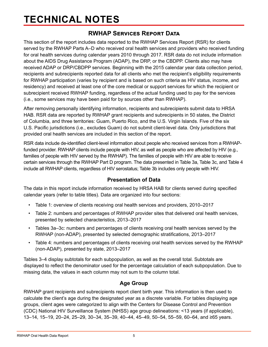## <span id="page-8-0"></span>**TECHNICAL NOTES**

### **RWHAP Services Report Data**

This section of the report includes data reported to the RWHAP Services Report (RSR) for clients served by the RWHAP Parts A–D who received oral health services and providers who received funding for oral health services during calendar years 2010 through 2017. RSR data do not include information about the AIDS Drug Assistance Program (ADAP), the DRP, or the CBDPP. Clients also may have received ADAP or DRP/CBDPP services. Beginning with the 2015 calendar year data collection period, recipients and subrecipients reported data for all clients who met the recipient's eligibility requirements for RWHAP participation (varies by recipient and is based on such criteria as HIV status, income, and residency) and received at least one of the core medical or support services for which the recipient or subrecipient received RWHAP funding, regardless of the actual funding used to pay for the services (i.e., some services may have been paid for by sources other than RWHAP).

After removing personally identifying information, recipients and subrecipients submit data to HRSA HAB. RSR data are reported by RWHAP grant recipients and subrecipients in 50 states, the District of Columbia, and three territories: Guam, Puerto Rico, and the U.S. Virgin Islands. Five of the six U.S. Pacific jurisdictions (i.e., excludes Guam) do not submit client-level data. Only jurisdictions that provided oral health services are included in this section of the report.

RSR data include de-identified client-level information about people who received services from a RWHAPfunded provider. RWHAP clients include people with HIV, as well as people who are affected by HIV (e.g., families of people with HIV served by the RWHAP). The families of people with HIV are able to receive certain services through the RWHAP Part D program. The data presented in Table 3a, Table 3c, and Table 4 include all RWHAP clients, regardless of HIV serostatus; Table 3b includes only people with HIV.

#### **Presentation of Data**

The data in this report include information received by HRSA HAB for clients served during specified calendar years (refer to table titles). Data are organized into four sections:

- Table 1: overview of clients receiving oral health services and providers, 2010–2017
- Table 2: numbers and percentages of RWHAP provider sites that delivered oral health services, presented by selected characteristics, 2013–2017
- Tables 3a–3c: numbers and percentages of clients receiving oral health services served by the RWHAP (non-ADAP), presented by selected demographic stratifications, 2013–2017
- Table 4: numbers and percentages of clients receiving oral health services served by the RWHAP (non-ADAP), presented by state, 2013–2017

Tables 3–4 display subtotals for each subpopulation, as well as the overall total. Subtotals are displayed to reflect the denominator used for the percentage calculation of each subpopulation. Due to missing data, the values in each column may not sum to the column total.

#### **Age Group**

RWHAP grant recipients and subrecipients report client birth year. This information is then used to calculate the client's age during the designated year as a discrete variable. For tables displaying age groups, client ages were categorized to align with the Centers for Disease Control and Prevention (CDC) National HIV Surveillance System (NHSS) age group delineations: <13 years (if applicable), 13–14, 15–19, 20–24, 25–29, 30–34, 35–39, 40–44, 45–49, 50–54, 55–59, 60–64, and ≥65 years.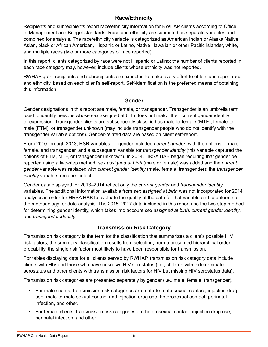#### **Race/Ethnicity**

Recipients and subrecipients report race/ethnicity information for RWHAP clients according to Office of Management and Budget standards. Race and ethnicity are submitted as separate variables and combined for analysis. The race/ethnicity variable is categorized as American Indian or Alaska Native, Asian, black or African American, Hispanic or Latino, Native Hawaiian or other Pacific Islander, white, and multiple races (two or more categories of race reported).

In this report, clients categorized by race were not Hispanic or Latino; the number of clients reported in each race category may, however, include clients whose ethnicity was not reported.

RWHAP grant recipients and subrecipients are expected to make every effort to obtain and report race and ethnicity, based on each client's self-report. Self-identification is the preferred means of obtaining this information.

#### **Gender**

Gender designations in this report are male, female, or transgender. Transgender is an umbrella term used to identify persons whose sex assigned at birth does not match their current gender identity or expression. Transgender clients are subsequently classified as male-to-female (MTF), female-tomale (FTM), or transgender unknown (may include transgender people who do not identify with the transgender variable options). Gender-related data are based on client self-report.

From 2010 through 2013, RSR variables for gender included *current gender*, with the options of male, female, and transgender, and a subsequent variable for *transgender identity* (this variable captured the options of FTM, MTF, or transgender unknown). In 2014, HRSA HAB began requiring that gender be reported using a two-step method: *sex assigned at birth* (male or female) was added and the *current gender* variable was replaced with *current gender identity* (male, female, transgender); the *transgender identity* variable remained intact.

Gender data displayed for 2013–2014 reflect only the *current gender* and *transgender identity* variables. The additional information available from *sex assigned at birth* was not incorporated for 2014 analyses in order for HRSA HAB to evaluate the quality of the data for that variable and to determine the methodology for data analysis. The 2015–2017 data included in this report use the two-step method for determining gender identity, which takes into account *sex assigned at birth, current gender identity*, and *transgender identity*.

#### **Transmission Risk Category**

Transmission risk category is the term for the classification that summarizes a client's possible HIV risk factors; the summary classification results from selecting, from a presumed hierarchical order of probability, the single risk factor most likely to have been responsible for transmission.

For tables displaying data for all clients served by RWHAP, transmission risk category data include clients with HIV and those who have unknown HIV serostatus (i.e., children with indeterminate serostatus and other clients with transmission risk factors for HIV but missing HIV serostatus data).

Transmission risk categories are presented separately by gender (i.e., male, female, transgender).

- For male clients, transmission risk categories are male-to-male sexual contact, injection drug use, male-to-male sexual contact and injection drug use, heterosexual contact, perinatal infection, and other.
- For female clients, transmission risk categories are heterosexual contact, injection drug use, perinatal infection, and other.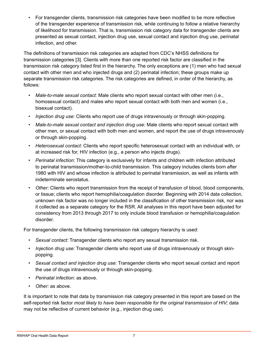• For transgender clients, transmission risk categories have been modified to be more reflective of the transgender experience of transmission risk, while continuing to follow a relative hierarchy of likelihood for transmission. That is, transmission risk category data for transgender clients are presented as sexual contact, injection drug use, sexual contact and injection drug use, perinatal infection, and other.

The definitions of transmission risk categories are adapted from CDC's NHSS definitions for transmission categories [3]. Clients with more than one reported risk factor are classified in the transmission risk category listed first in the hierarchy. The only exceptions are (1) men who had sexual contact with other men and who injected drugs and (2) perinatal infection; these groups make up separate transmission risk categories. The risk categories are defined, in order of the hierarchy, as follows:

- *• Male-to-male sexual contact:* Male clients who report sexual contact with other men (i.e., homosexual contact) and males who report sexual contact with both men and women (i.e., bisexual contact).
- *• Injection drug use:* Clients who report use of drugs intravenously or through skin-popping.
- *• Male-to-male sexual contact and injection drug use:* Male clients who report sexual contact with other men, or sexual contact with both men and women, and report the use of drugs intravenously or through skin-popping.
- *• Heterosexual contact:* Clients who report specific heterosexual contact with an individual with, or at increased risk for, HIV infection (e.g., a person who injects drugs).
- *• Perinatal infection:* This category is exclusively for infants and children with infection attributed to perinatal transmission/mother-to-child transmission. This category includes clients born after 1980 with HIV and whose infection is attributed to perinatal transmission, as well as infants with indeterminate serostatus.
- *• Other:* Clients who report transmission from the receipt of transfusion of blood, blood components, or tissue; clients who report hemophilia/coagulation disorder. Beginning with 2014 data collection, unknown risk factor was no longer included in the classification of other transmission risk, nor was it collected as a separate category for the RSR. All analyses in this report have been adjusted for consistency from 2013 through 2017 to only include blood transfusion or hemophilia/coagulation disorder.

For transgender clients, the following transmission risk category hierarchy is used:

- *• Sexual contact:* Transgender clients who report any sexual transmission risk.
- *• Injection drug use:* Transgender clients who report use of drugs intravenously or through skinpopping.
- *• Sexual contact and injection drug use:* Transgender clients who report sexual contact and report the use of drugs intravenously or through skin-popping.
- *• Perinatal infection:* as above.
- *• Other:* as above.

It is important to note that data by transmission risk category presented in this report are based on the self-reported risk factor *most likely to have been responsible for the original transmission of HIV;* data may not be reflective of current behavior (e.g., injection drug use).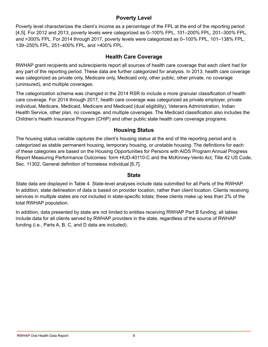#### **Poverty Level**

Poverty level characterizes the client's income as a percentage of the FPL at the end of the reporting period [4,5]. For 2012 and 2013, poverty levels were categorized as 0–100% FPL, 101–200% FPL, 201–300% FPL, and >300% FPL. For 2014 through 2017, poverty levels were categorized as 0–100% FPL, 101–138% FPL, 139–250% FPL, 251–400% FPL, and >400% FPL.

#### **Health Care Coverage**

RWHAP grant recipients and subrecipients report all sources of health care coverage that each client had for any part of the reporting period. These data are further categorized for analysis. In 2013, health care coverage was categorized as private only, Medicare only, Medicaid only, other public, other private, no coverage (uninsured), and multiple coverages.

The categorization schema was changed in the 2014 RSR to include a more granular classification of health care coverage. For 2014 through 2017, health care coverage was categorized as private employer, private individual, Medicare, Medicaid, Medicare and Medicaid (dual eligibility), Veterans Administration, Indian Health Service, other plan, no coverage, and multiple coverages. The Medicaid classification also includes the Children's Health Insurance Program (CHIP) and other public state health care coverage programs.

#### **Housing Status**

The housing status variable captures the client's housing status at the end of the reporting period and is categorized as stable permanent housing, temporary housing, or unstable housing. The definitions for each of these categories are based on the Housing Opportunities for Persons with AIDS Program Annual Progress Report Measuring Performance Outcomes: form HUD-40110-C and the McKinney-Vento Act, Title 42 US Code, Sec. 11302, General definition of homeless individual [6,7].

#### **State**

State data are displayed in Table 4. State-level analyses include data submitted for all Parts of the RWHAP. In addition, state delineation of data is based on provider location, rather than client location. Clients receiving services in multiple states are not included in state-specific totals; these clients make up less than 2% of the total RWHAP population.

In addition, data presented by state are not limited to entities receiving RWHAP Part B funding; all tables include data for all clients served by RWHAP providers in the state, regardless of the source of RWHAP funding (i.e., Parts A, B, C, and D data are included).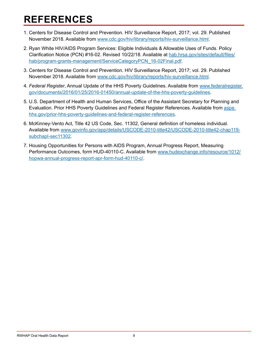### <span id="page-12-0"></span>**REFERENCES**

- 1. Centers for Disease Control and Prevention. HIV Surveillance Report, 2017; vol. 29. Published November 2018. Available from [www.cdc.gov/hiv/library/reports/hiv-surveillance.html.](http://www.cdc.gov/hiv/library/reports/hiv-surveillance.html)
- 2. Ryan White HIV/AIDS Program Services: Eligible Individuals & Allowable Uses of Funds. Policy Clarification Notice (PCN) #16-02. Revised 10/22/18. Available at <u>hab.hrsa.gov/[sites/default/files/](https://hab.hrsa.gov/sites/default/files/hab/program-grants-management/ServiceCategoryPCN_16-02Final.pdf)</u> . [hab/program-grants-management/ServiceCategoryPCN\\_16-02Final.pdf](https://hab.hrsa.gov/sites/default/files/hab/program-grants-management/ServiceCategoryPCN_16-02Final.pdf)
- 3. Centers for Disease Control and Prevention. HIV Surveillance Report, 2017; vol. 29. Published November 2018. Available from [www.cdc.gov/hiv/library/reports/hiv-surveillance.html.](http://www.cdc.gov/hiv/library/reports/hiv-surveillance.html)
- 4. *Federal Register*, Annual Update of the HHS Poverty Guidelines. Available from [www.federalregister.](http://www.federalregister.gov/documents/2016/01/25/2016-01450/annual-update-of-the-hhs-poverty-guidelines) . [gov/documents/2016/01/25/2016-01450/annual-update-of-the-hhs-poverty-guidelines](http://www.federalregister.gov/documents/2016/01/25/2016-01450/annual-update-of-the-hhs-poverty-guidelines)
- 5. U.S. Department of Health and Human Services, Office of the Assistant Secretary for Planning and Evaluation. Prior HHS Poverty Guidelines and Federal Register References. Available from <u>[aspe.](https://aspe.hhs.gov/prior-hhs-poverty-guidelines-and-federal-register-references)</u> . [hhs.gov/prior-hhs-poverty-guidelines-and-federal-register-references](https://aspe.hhs.gov/prior-hhs-poverty-guidelines-and-federal-register-references)
- 6. McKinney-Vento Act, Title 42 US Code, Sec. 11302, General definition of homeless individual. Available from [www.govinfo.gov/app/details/USCODE-2010-title42/USCODE-2010-title42-chap119-](http://www.govinfo.gov/app/details/USCODE-2010-title42/USCODE-2010-title42-chap119-subchapI-sec11302) . [subchapI-sec11302](http://www.govinfo.gov/app/details/USCODE-2010-title42/USCODE-2010-title42-chap119-subchapI-sec11302)
- 7. Housing Opportunities for Persons with AIDS Program, Annual Progress Report, Measuring Performance Outcomes, form HUD-40110-C. Available from [www.hudexchange.info/resource/1012/](http://www.hudexchange.info/resource/1012/hopwa-annual-progress-report-apr-form-hud-40110-c/) . [hopwa-annual-progress-report-apr-form-hud-40110-c/](http://www.hudexchange.info/resource/1012/hopwa-annual-progress-report-apr-form-hud-40110-c/)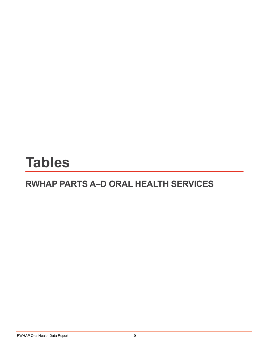# <span id="page-13-0"></span>**Tables**

### **RWHAP PARTS A–D ORAL HEALTH SERVICES**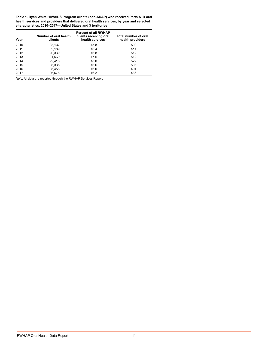<span id="page-14-0"></span>**Table 1. Ryan White HIV/AIDS Program clients (non-ADAP) who received Parts A–D oral health services and providers that delivered oral health services, by year and selected characteristics, 2010–2017—United States and 3 territories**

| Year | Number of oral health<br>clients | <b>Percent of all RWHAP</b><br>clients receiving oral<br>health services | Total number of oral<br>health providers |
|------|----------------------------------|--------------------------------------------------------------------------|------------------------------------------|
| 2010 | 88,132                           | 15.8                                                                     | 509                                      |
| 2011 | 89.189                           | 16.4                                                                     | 511                                      |
| 2012 | 90,339                           | 16.8                                                                     | 512                                      |
| 2013 | 91,569                           | 17.5                                                                     | 512                                      |
| 2014 | 92.418                           | 18.0                                                                     | 522                                      |
| 2015 | 88,335                           | 16.6                                                                     | 505                                      |
| 2016 | 88,458                           | 16.0                                                                     | 491                                      |
| 2017 | 86.676                           | 16.2                                                                     | 486                                      |

*Note:* All data are reported through the RWHAP Services Report.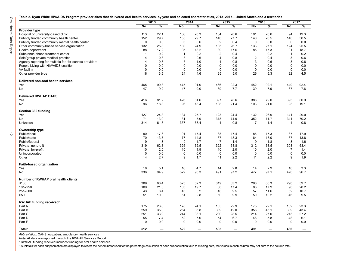<span id="page-15-0"></span>**Table 2. Ryan White HIV/AIDS Program provider sites that delivered oral health services, by year and selected characteristics, 2013–2017—United States and 3 territories**

 $\vec{\tilde{\omega}}$ 

|                                                         |                | 2013 |                | 2014        |                | 2015<br>2016 |                |             | 2017           |               |
|---------------------------------------------------------|----------------|------|----------------|-------------|----------------|--------------|----------------|-------------|----------------|---------------|
|                                                         | No.            | %    | No.            | %           | No.            | $\%$         | No.            | $\%$        | No.            | $\frac{9}{6}$ |
| Provider type                                           |                |      |                |             |                |              |                |             |                |               |
| Hospital or university-based clinic                     | 113            | 22.1 | 106            | 20.3        | 104            | 20.6         | 101            | 20.6        | 94             | 19.3          |
| Publicly funded community health center                 | 152            | 29.7 | 155            | 29.7        | 140            | 27.7         | 140            | 28.5        | 148            | 30.5          |
| Publicly funded community mental health center          | $\mathbf 0$    | 0.0  | 3              | 0.6         | $\overline{2}$ | 0.4          | $\mathbf 0$    | 0.0         | $\mathbf 0$    | 0.0           |
| Other community-based service organization              | 132            | 25.8 | 130            | 24.9        | 135            | 26.7         | 133            | 27.1        | 124            | 25.5          |
| Health department                                       | 88             | 17.2 | 95             | 18.2        | 89             | 17.6         | 85             | 17.3        | 91             | 18.7          |
| Substance abuse treatment center                        | $\overline{1}$ | 0.2  | $\overline{1}$ | 0.2         | $\overline{2}$ | 0.4          | $\overline{1}$ | 0.2         | $\mathbf{1}$   | 0.2           |
| Solo/group private medical practice                     | 4              | 0.8  | 3              | 0.6         | $\overline{4}$ | 0.8          | $\overline{2}$ | 0.4         | 3              | 0.6           |
| Agency reporting for multiple fee-for-service providers | 4              | 0.8  | 5              | 1.0         | $\overline{4}$ | 0.8          | 3              | 0.6         | 3              | 0.6           |
| People Living with HIV/AIDS coalition                   | 0              | 0.0  | $\mathbf 0$    | 0.0         | $\mathbf 0$    | 0.0          | $\mathbf 0$    | 0.0         | 0              | 0.0           |
| <b>VA facility</b>                                      | 0              | 0.0  | $\mathbf 0$    | 0.0         | $\mathbf 0$    | 0.0          | $\mathbf 0$    | 0.0         | $\mathbf 0$    | 0.0           |
| Other provider type                                     | 18             | 3.5  | 24             | 4.6         | 25             | 5.0          | 26             | 5.3         | 22             | 4.5           |
| Delivered non-oral health services                      |                |      |                |             |                |              |                |             |                |               |
| Yes                                                     | 465            | 90.8 | 475            | 91.0        | 466            | 92.3         | 452            | 92.1        | 449            | 92.4          |
| No                                                      | 47             | 9.2  | 47             | 9.0         | 39             | 7.7          | 39             | 7.9         | 37             | 7.6           |
|                                                         |                |      |                |             |                |              |                |             |                |               |
| <b>Delivered RWHAP OAHS</b>                             |                |      |                |             |                |              |                |             |                |               |
| Yes                                                     | 416            | 81.2 | 426            | 81.6        | 397            | 78.6         | 388            | 79.0        | 393            | 80.9          |
| No                                                      | 96             | 18.8 | 96             | 18.4        | 108            | 21.4         | 103            | 21.0        | 93             | 19.1          |
| Section 330 funding                                     |                |      |                |             |                |              |                |             |                |               |
| Yes                                                     | 127            | 24.8 | 134            | 25.7        | 123            | 24.4         | 132            | 26.9        | 141            | 29.0          |
| <b>No</b>                                               | 71             | 13.9 | 31             | 5.9         | 378            | 74.9         | 352            | 71.7        | 341            | 70.2          |
| Unknown                                                 | 314            | 61.3 | 357            | 68.4        | $\overline{4}$ | 0.8          | $\overline{7}$ | 1.4         | $\overline{4}$ | 0.8           |
| Ownership type                                          |                |      |                |             |                |              |                |             |                |               |
| Public/local                                            | 90             | 17.6 | 91             | 17.4        | 88             | 17.4         | 85             | 17.3        | 87             | 17.9          |
| Public/state                                            | 70             | 13.7 | 77             | 14.8        | 67             | 13.3         | 64             | 13.0        | 67             | 13.8          |
| Public/federal                                          | 9              | 1.8  | 9              | 1.7         | $\overline{7}$ | 1.4          | 9              | 1.8         | 8              | 1.6           |
| Private, nonprofit                                      | 319            | 62.3 | 326            | 62.5        | 322            | 63.8         | 312            | 63.5        | 308            | 63.4          |
| Private, for-profit                                     | 10             | 2.0  | 10             | 1.9         | 10             | 2.0          | 10             | 2.0         | $\overline{7}$ | 1.4           |
| Unincorporated                                          | $\mathbf 0$    | 0.0  | 0              | 0.0         | $\mathbf 0$    | 0.0          | $\mathbf 0$    | 0.0         | $\mathbf 0$    | 0.0           |
| Other                                                   | 14             | 2.7  | 9              | 1.7         | 11             | 2.2          | 11             | 2.2         | 9              | 1.9           |
|                                                         |                |      |                |             |                |              |                |             |                |               |
| Faith-based organization                                |                |      |                |             |                |              |                |             |                |               |
| Yes                                                     | 18             | 5.1  | 16             | 4.7<br>95.3 | 14             | 2.8<br>97.2  | 14             | 2.9<br>97.1 | 16<br>470      | 3.3           |
| No                                                      | 336            | 94.9 | 322            |             | 491            |              | 477            |             |                | 96.7          |
| Number of RWHAP oral health clients                     |                |      |                |             |                |              |                |             |                |               |
| $≤100$                                                  | 309            | 60.4 | 325            | 62.3        | 319            | 63.2         | 296            | 60.3        | 290            | 59.7          |
| 101-250                                                 | 109            | 21.3 | 103            | 19.7        | 88             | 17.4         | 88             | 17.9        | 98             | 20.2          |
| 251-500                                                 | 43             | 8.4  | 43             | 8.2         | 48             | 9.5          | 57             | 11.6        | 52             | 10.7          |
| >500                                                    | 51             | 10.0 | 51             | 9.8         | 50             | 9.9          | 50             | 10.2        | 46             | 9.5           |
| RWHAP funding received <sup>a</sup>                     |                |      |                |             |                |              |                |             |                |               |
| Part A                                                  | 175            | 23.6 | 178            | 24.1        | 185            | 22.9         | 175            | 22.1        | 182            | 23.3          |
| Part B                                                  | 259            | 35.0 | 264            | 35.8        | 339            | 42.0         | 358            | 45.1        | 339            | 43.4          |
| Part C                                                  | 251            | 33.9 | 244            | 33.1        | 230            | 28.5         | 214            | 27.0        | 213            | 27.2          |
| Part D                                                  | 55             | 7.4  | 52             | 7.0         | 54             | 6.7          | 46             | 5.8         | 48             | 6.1           |
| Part F                                                  | $\mathbf 0$    | 0.0  | $\mathbf 0$    | 0.0         | $\Omega$       | 0.0          | $\Omega$       | 0.0         | $\Omega$       | 0.0           |
|                                                         |                |      |                |             |                |              |                |             |                |               |
| <b>Total</b> <sup>b</sup>                               | 512            |      | 522            |             | 505            |              | 491            |             | 486            |               |

*Abbreviation:* OAHS, outpatient ambulatory health services

*Note:* All data are reported through the RWHAP Services Report.

a RWHAP funding received includes funding for oral health services.

b Subtotals for each subpopulation are displayed to reflect the denominator used for the percentage calculation of each subpopulation; due to missing data, the values in each column may not sum to the column total.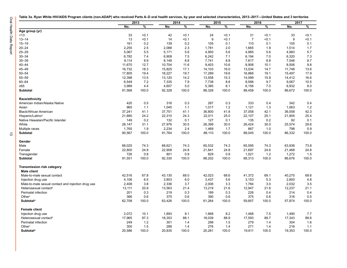<span id="page-16-0"></span>

|                                                    |        | 2013  |        | 2014  |        | 2015  |                | 2016  |        | 2017  |  |
|----------------------------------------------------|--------|-------|--------|-------|--------|-------|----------------|-------|--------|-------|--|
|                                                    | No.    | %     | No.    | %     | No.    | %     | No.            | %     | No.    | %     |  |
| Age group (yr)                                     |        |       |        |       |        |       |                |       |        |       |  |
| < 13                                               | 33     | < 0.1 | 42     | < 0.1 | 24     | < 0.1 | 31             | < 0.1 | 33     | < 0.1 |  |
| $13 - 14$                                          | 13     | < 0.1 | 14     | 0.1   | 9      | < 0.1 | $\overline{7}$ | < 0.1 | 9      | < 0.1 |  |
| $15 - 19$                                          | 161    | 0.2   | 139    | 0.2   | 105    | 0.1   | 110            | 0.1   | 105    | 0.1   |  |
| $20 - 24$                                          | 2,255  | 2.5   | 2,088  | 2.3   | 1,781  | 2.0   | 1,665          | 1.9   | 1,514  | 1.7   |  |
| $25 - 29$                                          | 5,067  | 5.5   | 5,171  | 5.6   | 4,950  | 5.6   | 4,985          | 5.6   | 4,983  | 5.7   |  |
| $30 - 34$                                          | 6,782  | 7.4   | 6,908  | 7.5   | 6,242  | 7.1   | 6,194          | 7.0   | 6,320  | 7.3   |  |
| $35 - 39$                                          | 8,114  | 8.9   | 8,148  | 8.8   | 7,741  | 8.8   | 7,817          | 8.8   | 7,546  | 8.7   |  |
| $40 - 44$                                          | 11,670 | 12.7  | 10,704 | 11.6  | 9.403  | 10.6  | 8.908          | 10.1  | 8,506  | 9.8   |  |
| 45-49                                              | 16,732 | 18.3  | 15,825 | 17.1  | 14,103 | 16.0  | 13,034         | 14.7  | 11,748 | 13.6  |  |
| $50 - 54$                                          | 17,805 | 19.4  | 18,227 | 19.7  | 17,289 | 19.6  | 16,866         | 19.1  | 15,497 | 17.9  |  |
| $55 - 59$                                          | 12,398 | 13.5  | 13,120 | 14.2  | 13,558 | 15.3  | 14,099         | 15.9  | 14,412 | 16.6  |  |
| 60-64                                              | 6,549  | 7.2   | 7,335  | 7.9   | 7,738  | 8.8   | 8,586          | 9.7   | 9,067  | 10.5  |  |
| ≥65                                                | 3,989  | 4.4   | 4,607  | 5.0   | 5,385  | 6.1   | 6,156          | 7.0   | 6,932  | 8.0   |  |
| <b>Subtotal</b>                                    | 91,568 | 100.0 | 92,328 | 100.0 | 88,328 | 100.0 | 88,458         | 100.0 | 86,672 | 100.0 |  |
| Race/ethnicity                                     |        |       |        |       |        |       |                |       |        |       |  |
| American Indian/Alaska Native                      | 420    | 0.5   | 316    | 0.3   | 287    | 0.3   | 333            | 0.4   | 342    | 0.4   |  |
| Asian                                              | 965    | 1.1   | 1,045  | 1.1   | 1,017  | 1.2   | 1,121          | 1.3   | 1,063  | 1.2   |  |
| <b>Black/African American</b>                      | 37,241 | 41.1  | 37,751 | 41.1  | 36,800 | 41.8  | 37,058         | 42.1  | 36,558 | 42.3  |  |
| Hispanic/Latino <sup>a</sup>                       | 21,880 | 24.2  | 22,310 | 24.3  | 22,011 | 25.0  | 22,107         | 25.1  | 21,905 | 25.4  |  |
| Native Hawaiian/Pacific Islander                   | 149    | 0.2   | 132    | 0.1   | 127    | 0.1   | 135            | 0.2   | 92     | 0.1   |  |
| White                                              | 28,147 | 31.1  | 27,976 | 30.5  | 26,399 | 30.0  | 26,424         | 30.0  | 25,574 | 29.6  |  |
| Multiple races                                     | 1,765  | 1.9   | 2,234  | 2.4   | 1,469  | 1.7   | 867            | 1.0   | 798    | 0.9   |  |
| <b>Subtotal</b>                                    | 90,567 | 100.0 | 91,764 | 100.0 | 88,110 | 100.0 | 88,045         | 100.0 | 86,332 | 100.0 |  |
| Gender                                             |        |       |        |       |        |       |                |       |        |       |  |
| Male                                               | 68,025 | 74.3  | 68,621 | 74.3  | 65,532 | 74.3  | 65,595         | 74.3  | 63,936 | 73.8  |  |
| Female                                             | 22,800 | 24.9  | 22,908 | 24.8  | 21,841 | 24.8  | 21,697         | 24.6  | 21,468 | 24.8  |  |
| Transgender                                        | 726    | 0.8   | 801    | 0.9   | 829    | 0.9   | 1,021          | 1.2   | 1,272  | 1.5   |  |
| Subtotal                                           | 91,551 | 100.0 | 92,330 | 100.0 | 88,202 | 100.0 | 88,313         | 100.0 | 86,676 | 100.0 |  |
| <b>Transmission risk category</b>                  |        |       |        |       |        |       |                |       |        |       |  |
| <b>Male client</b>                                 |        |       |        |       |        |       |                |       |        |       |  |
| Male-to-male sexual contact                        | 42,516 | 67.8  | 43,130 | 68.0  | 42,023 | 68.6  | 41,372         | 69.1  | 40,275 | 69.6  |  |
| Injection drug use                                 | 4,106  | 6.5   | 3,803  | 6.0   | 3,437  | 5.6   | 3,153          | 5.3   | 2,800  | 4.8   |  |
| Male-to-male sexual contact and injection drug use | 2,408  | 3.8   | 2,336  | 3.7   | 2,006  | 3.3   | 1,784          | 3.0   | 2,032  | 3.5   |  |
| Heterosexual contact <sup>b</sup>                  | 13,111 | 20.9  | 13,563 | 21.4  | 13,219 | 21.6  | 12,947         | 21.6  | 12,237 | 21.1  |  |
| Perinatal infection                                | 201    | 0.3   | 219    | 0.3   | 189    | 0.3   | 226            | 0.4   | 214    | 0.4   |  |
| Other <sup>c</sup>                                 | 366    | 0.6   | 375    | 0.6   | 390    | 0.6   | 375            | 0.6   | 316    | 0.5   |  |
| Subtotal <sup>d</sup>                              | 62,708 | 100.0 | 63,426 | 100.0 | 61,264 | 100.0 | 59,857         | 100.0 | 57,874 | 100.0 |  |
| <b>Female client</b>                               |        |       |        |       |        |       |                |       |        |       |  |
| Injection drug use                                 | 2,072  | 10.1  | 1,893  | 9.1   | 1,668  | 8.2   | 1,468          | 7.5   | 1,490  | 7.7   |  |
| Heterosexual contact <sup>b</sup>                  | 17,965 | 87.3  | 18,353 | 88.1  | 18,039 | 88.9  | 17,593         | 89.7  | 17,343 | 89.6  |  |
| Perinatal infection                                | 249    | 1.2   | 301    | 1.4   | 298    | 1.5   | 279            | 1.4   | 304    | 1.6   |  |
| Other <sup>c</sup>                                 | 300    | 1.5   | 288    | 1.4   | 276    | 1.4   | 271            | 1.4   | 216    | 1.1   |  |
| <b>Subtotald</b>                                   | 20,586 | 100.0 | 20,835 | 100.0 | 20,281 | 100.0 | 19,611         | 100.0 | 19,353 | 100.0 |  |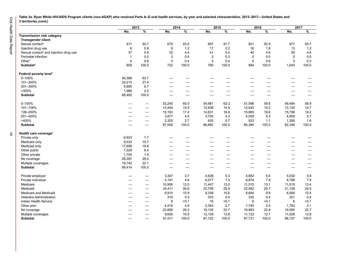Oral Health Data Report 14 Oral Health Data Report

**Table 3a. Ryan White HIV/AIDS Program clients (non-ADAP) who received Parts A–D oral health services, by year and selected characteristics, 2013–2017—United States and 3 territories** *(cont.)*

|                                                    |                | 2013                     | 2014                     |                          | 2015           |                          |             | 2016                             |             | 2017                     |
|----------------------------------------------------|----------------|--------------------------|--------------------------|--------------------------|----------------|--------------------------|-------------|----------------------------------|-------------|--------------------------|
|                                                    | No.            | $\frac{9}{6}$            | No.                      | $\frac{9}{6}$            | No.            | $\frac{9}{6}$            | No.         | $\overline{\frac{9}{6}}$         | No.         | $\frac{9}{6}$            |
| <b>Transmission risk category</b>                  |                |                          |                          |                          |                |                          |             |                                  |             |                          |
| <b>Transgender client</b>                          |                |                          |                          |                          |                |                          |             |                                  |             |                          |
| Sexual contact <sup>e</sup>                        | 611            | 92.7                     | 675                      | 93.5                     | 697            | 91.7                     | 821         | 92.9                             | 977         | 93.7                     |
| Injection drug use                                 | 6              | 0.9                      | 9                        | 1.2                      | 17             | 2.2                      | 16          | 1.8                              | 13          | $1.2$                    |
| Sexual contact <sup>e</sup> and injection drug use | 37             | 5.6                      | 32                       | 4.4                      | 41             | 5.4                      | 42          | 4.8                              | 50          | 4.8                      |
| Perinatal infection                                | $\mathbf{1}$   | 0.2                      | 3                        | 0.4                      | $\overline{2}$ | 0.3                      | $\mathbf 0$ | 0.0                              | $\mathbf 0$ | 0.0                      |
| Other <sup>c</sup>                                 | $\overline{4}$ | 0.6                      | 3                        | 0.4                      | 3              | 0.4                      | 5           | 0.6                              | 3           | 0.3                      |
| Subtotal <sup>d</sup>                              | 659            | 100.0                    | 722                      | 100.0                    | 760            | 100.0                    | 884         | 100.0                            | 1,043       | 100.0                    |
| Federal poverty level <sup>f</sup>                 |                |                          |                          |                          |                |                          |             |                                  |             |                          |
| $0 - 100%$                                         | 56,388         | 63.7                     | $\overline{\phantom{0}}$ | —                        |                | <u>—</u>                 |             |                                  |             |                          |
| 101-200%                                           | 24,213         | 27.4                     | —                        |                          |                | -                        |             |                                  |             | —                        |
| 201-300%                                           | 5,895          | 6.7                      |                          | —                        |                | -                        |             |                                  |             | -                        |
| $>300\%$                                           | 1,986          | 2.2                      | —                        | -                        | —              | —                        | -           | $\overbrace{\phantom{12322111}}$ |             | -                        |
| Subtotal                                           | 88,482         | 100.0                    |                          |                          |                |                          |             |                                  |             |                          |
| $0 - 100%$                                         |                | $\overline{\phantom{m}}$ | 52,240                   | 60.0                     | 54,981         | 63.3                     | 51,096      | 59.8                             | 48,484      | 58.9                     |
| 101-138%                                           |                | $\overline{\phantom{0}}$ | 13,454                   | 15.5                     | 12,938         | 14.9                     | 12,943      | 15.2                             | 12,120      | 14.7                     |
| 139-250%                                           | —              | $\overline{\phantom{m}}$ | 15,163                   | 17.4                     | 14,631         | 16.8                     | 15,865      | 18.6                             | 15,798      | 19.2                     |
| 251-400%                                           | -              |                          | 3,877                    | 4.5                      | 3,705          | 4.3                      | 4,559       | 5.3                              | 4,659       | 5.7                      |
| >400%                                              | —              | $\overline{\phantom{m}}$ | 2,325                    | 2.7                      | 625            | 0.7                      | 923         | 1.1                              | 1,285       | 1.6                      |
| Subtotal                                           |                |                          | 87,059                   | 100.0                    | 86,880         | 100.0                    | 85,386      | 100.0                            | 82,346      | 100.0                    |
| Health care coveragef                              |                |                          |                          |                          |                |                          |             |                                  |             |                          |
| Private only                                       | 6,923          | 7.7                      |                          |                          |                |                          |             |                                  |             |                          |
| Medicare only                                      | 9,533          | 10.7                     |                          |                          |                | $\sim$                   |             | $\overline{\phantom{0}}$         |             | $\overline{\phantom{0}}$ |
| Medicaid only                                      | 17,696         | 19.8                     |                          | —                        |                | -                        |             |                                  |             | -                        |
| Other public                                       | 7,529          | 8.4                      | $\overline{\phantom{0}}$ | $\overline{\phantom{0}}$ |                | $\sim$                   |             | $\overline{\phantom{a}}$         |             | $\overline{\phantom{0}}$ |
| Other private                                      | 1,704          | 1.9                      |                          |                          |                | and the                  |             |                                  |             | -                        |
| No coverage                                        | 26,287         | 29.4                     | $\overline{\phantom{0}}$ | —                        | -              | $\overline{\phantom{0}}$ |             |                                  |             | -                        |
| Multiple coverages                                 | 19,742         | 22.1                     |                          | $\overline{\phantom{0}}$ |                | $\overline{\phantom{0}}$ |             |                                  |             | $\sim$                   |
| <b>Subtotal</b>                                    | 89,414         | 100.0                    |                          | $\overline{\phantom{0}}$ |                | $\overline{\phantom{0}}$ |             |                                  |             | —                        |
| Private employer                                   |                |                          | 3,347                    | 3.7                      | 4,638          | 5.3                      | 4,882       | 5.6                              | 5,032       | 5.8                      |
| Private individual                                 | -              | $\overline{\phantom{m}}$ | 4,191                    | 4.6                      | 6,577          | 7.5                      | 6,874       | 7.8                              | 6,798       | 7.9                      |
| Medicare                                           | -              | $\qquad \qquad -$        | 10,956                   | 12.0                     | 11,447         | 13.0                     | 11,510      | 13.1                             | 11,515      | 13.4                     |
| Medicaid                                           | —              | $\overline{\phantom{m}}$ | 24,411                   | 26.8                     | 22,706         | 25.9                     | 22,582      | 25.7                             | 21,128      | 24.5                     |
| Medicare and Medicaid                              | —              | $\overline{\phantom{m}}$ | 9,910                    | 10.9                     | 9,338          | 10.6                     | 8,694       | 9.9                              | 8,956       | 10.4                     |
| Veterans Administration                            | —              | $\qquad \qquad -$        | 316                      | 0.3                      | 353            | 0.4                      | 335         | 0.4                              | 321         | 0.4                      |
| Indian Health Service                              | —              | $\overline{\phantom{0}}$ | 8                        | < 0.1                    | 16             | < 0.1                    | 8           | < 0.1                            | 6           | < 0.1                    |
| Other plan                                         | —              | $\overline{\phantom{m}}$ | 4,416                    | 4.9                      | 2,383          | 2.7                      | 1,740       | 2.0                              | 1,783       | 2.1                      |
| No coverage                                        |                | —                        | 23,856                   | 26.2                     | 18,135         | 20.7                     | 19,983      | 22.8                             | 19,590      | 22.7                     |
| Multiple coverages                                 |                |                          | 9,600                    | 10.5                     | 12,129         | 13.8                     | 11,123      | 12.7                             | 11,028      | 12.8                     |
| <b>Subtotal</b>                                    |                |                          | 91,011                   | 100.0                    | 87,722         | 100.0                    | 87,731      | 100.0                            | 86,157      | 100.0                    |

 $\frac{1}{4}$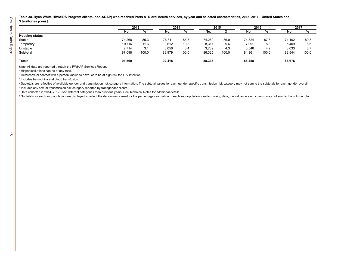**Table 3a. Ryan White HIV/AIDS Program clients (non-ADAP) who received Parts A–D oral health services, by year and selected characteristics, 2013–2017—United States and 3 territories** *(cont.)*

|                       |        | 2013              |        | 2014              |        | 2015  |        | 2016  |        | 2017                     |
|-----------------------|--------|-------------------|--------|-------------------|--------|-------|--------|-------|--------|--------------------------|
|                       | No.    |                   | No.    |                   | No.    | 7٥    | No.    | %     | No.    | %                        |
| <b>Housing status</b> |        |                   |        |                   |        |       |        |       |        |                          |
| Stable                | 74,268 | 85.3              | 76,311 | 85.8              | 74,269 | 86.0  | 74,324 | 87.5  | 74,102 | 89.8                     |
| Temporary             | 10,116 | 11.6              | 9,612  | 10.8              | 8,317  | 9.6   | 7,091  | 8.3   | 5,409  | 6.6                      |
| Unstable              | 2,714  | 3.1               | 3,056  | 3.4               | 3,739  | 4.3   | 3,546  | 4.2   | 3,033  | 3.7                      |
| Subtotal              | 87,098 | 100.0             | 88,979 | 100.0             | 86,325 | 100.0 | 84,961 | 100.0 | 82,544 | 100.0                    |
| Total <sup>9</sup>    | 91,569 | $\hspace{0.05cm}$ | 92,418 | $\hspace{0.05cm}$ | 88,335 |       | 88,458 |       | 86,676 | $\overline{\phantom{0}}$ |

*Note:* All data are reported through the RWHAP Services Report.

a Hispanics/Latinos can be of any race.

 $^{\rm b}$  Heterosexual contact with a person known to have, or to be at high risk for, HIV infection.

c Includes hemophilia and blood transfusion.

d Subtotals are reflective of available gender and transmission risk category information. The subtotal values for each gender-specific transmission risk category may not sum to the subtotals for each gender overall.

e Includes any sexual transmission risk category reported by transgender clients.

<sup>f</sup> Data collected in 2014–2017 used different categories than previous years. See Technical Notes for additional details.

<sup>g</sup> Subtotals for each subpopulation are displayed to reflect the denominator used for the percentage calculation of each subpopulation; due to missing data, the values in each column may not sum to the column total.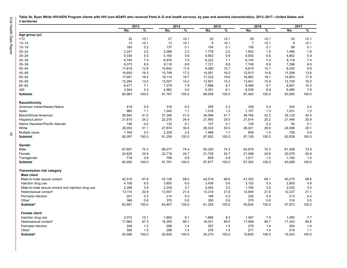| Table 3b. Ryan White HIV/AIDS Program clients with HIV (non-ADAP) who received Parts A-D oral health services, by year and selected characteristics, 2013-2017-United States and |  |
|----------------------------------------------------------------------------------------------------------------------------------------------------------------------------------|--|
| 3 territories                                                                                                                                                                    |  |

|                                                    | 2013   |       |        | 2014  |        | 2015                     |                | 2016            |        | 2017  |  |
|----------------------------------------------------|--------|-------|--------|-------|--------|--------------------------|----------------|-----------------|--------|-------|--|
|                                                    | No.    | %     | No.    | %     | No.    | $\overline{\frac{9}{6}}$ | No.            | $\overline{\%}$ | No.    | %     |  |
| Age group (yr)                                     |        |       |        |       |        |                          |                |                 |        |       |  |
| ~13                                                | 32     | $0.1$ | 27     | < 0.1 | 20     | < 0.1                    | 29             | < 0.1           | 24     | < 0.1 |  |
| $13 - 14$                                          | 13     | < 0.1 | 13     | < 0.1 | 8      | < 0.1                    | $\overline{7}$ | < 0.1           | 8      | $0.1$ |  |
| $15 - 19$                                          | 160    | 0.2   | 137    | 0.1   | 104    | 0.1                      | 106            | 0.1             | 99     | 0.1   |  |
| $20 - 24$                                          | 2,247  | 2.5   | 2,086  | 2.3   | 1,779  | 2.0                      | 1,642          | 1.9             | 1,466  | 1.8   |  |
| $25 - 29$                                          | 5,034  | 5.5   | 5,160  | 5.6   | 4,942  | 5.6                      | 4,930          | 5.6             | 4,862  | 5.9   |  |
| $30 - 34$                                          | 6,740  | 7.4   | 6,876  | 7.5   | 6,222  | 7.1                      | 6,140          | 7.0             | 6,118  | 7.4   |  |
| $35 - 39$                                          | 8,073  | 8.9   | 8,116  | 8.8   | 7,721  | 8.8                      | 7,749          | 8.9             | 7,296  | 8.8   |  |
| $40 - 44$                                          | 11,618 | 12.8  | 10,642 | 11.6  | 9,380  | 10.7                     | 8,819          | 10.1            | 8,245  | 9.9   |  |
| $45 - 49$                                          | 16,650 | 18.3  | 15,748 | 17.2  | 14,061 | 16.0                     | 12,913         | 14.8            | 11,288 | 13.6  |  |
| $50 - 54$                                          | 17,681 | 19.4  | 18,114 | 19.7  | 17,222 | 19.6                     | 16,682         | 19.1            | 14,853 | 17.9  |  |
| $55 - 59$                                          | 12,294 | 13.5  | 13,027 | 14.2  | 13,501 | 15.3                     | 13,941         | 15.9            | 13,729 | 16.5  |  |
| $60 - 64$                                          | 6,477  | 7.1   | 7,279  | 7.9   | 7,698  | 8.7                      | 8,486          | 9.7             | 8,591  | 10.3  |  |
| $\geq 65$                                          | 3,944  | 4.3   | 4,562  | 5.0   | 5,351  | 6.1                      | 6,039          | 6.9             | 6,486  | 7.8   |  |
| Subtotal                                           | 90,963 | 100.0 | 91,787 | 100.0 | 88,009 | 100.0                    | 87,483         | 100.0           | 83,065 | 100.0 |  |
| Race/ethnicity                                     |        |       |        |       |        |                          |                |                 |        |       |  |
| American Indian/Alaska Native                      | 419    | 0.5   | 316    | 0.3   | 285    | 0.3                      | 328            | 0.4             | 324    | 0.4   |  |
| Asian                                              | 960    | 1.1   | 1,042  | 1.1   | 1,016  | 1.2                      | 1,107          | 1.3             | 1,031  | 1.2   |  |
| Black/African American                             | 36,940 | 41.0  | 37,390 | 41.0  | 36,598 | 41.7                     | 36,764         | 42.2            | 35,133 | 42.4  |  |
| Hispanic/Latino <sup>a</sup>                       | 21,815 | 24.2  | 22,276 | 24.4  | 21,993 | 25.0                     | 21,914         | 25.2            | 21,446 | 25.9  |  |
| Native Hawaiian/Pacific Islander                   | 146    | 0.2   | 132    | 0.1   | 127    | 0.1                      | 134            | 0.2             | 82     | 0.1   |  |
| White                                              | 28,053 | 31.1  | 27,874 | 30.5  | 26,333 | 30.0                     | 26,021         | 29.9            | 24,096 | 29.1  |  |
| Multiple races                                     | 1,764  | 2.0   | 2,229  | 2.4   | 1,468  | 1.7                      | 858            | 1.0             | 726    | 0.9   |  |
| Subtotal                                           | 90,097 | 100.0 | 91,259 | 100.0 | 87,820 | 100.0                    | 87,126         | 100.0           | 82,838 | 100.0 |  |
| Gender                                             |        |       |        |       |        |                          |                |                 |        |       |  |
| Male                                               | 67,607 | 74.3  | 68,277 | 74.4  | 65,320 | 74.3                     | 64,878         | 74.3            | 61,308 | 73.8  |  |
| Female                                             | 22,625 | 24.9  | 22,716 | 24.7  | 21,728 | 24.7                     | 21,468         | 24.6            | 20,578 | 24.8  |  |
| Transgender                                        | 718    | 0.8   | 798    | 0.9   | 829    | 0.9                      | 1,017          | 1.2             | 1,182  | 1.4   |  |
| <b>Subtotal</b>                                    | 90,950 | 100.0 | 91,791 | 100.0 | 87,877 | 100.0                    | 87,363         | 100.0           | 83,068 | 100.0 |  |
| Transmission risk category                         |        |       |        |       |        |                          |                |                 |        |       |  |
| <b>Male client</b>                                 |        |       |        |       |        |                          |                |                 |        |       |  |
| Male-to-male sexual contact                        | 42,510 | 67.8  | 43,126 | 68.0  | 42,019 | 68.6                     | 41,352         | 69.1            | 40,275 | 69.6  |  |
| Injection drug use                                 | 4,106  | 6.5   | 3,800  | 6.0   | 3,436  | 5.6                      | 3,152          | 5.3             | 2,800  | 4.8   |  |
| Male-to-male sexual contact and injection drug use | 2,398  | 3.8   | 2,335  | 3.7   | 2,004  | 3.3                      | 1,784          | 3.0             | 2,032  | 3.5   |  |
| Heterosexual contact <sup>b</sup>                  | 13,110 | 20.9  | 13,557 | 21.4  | 13,218 | 21.6                     | 12,945         | 21.6            | 12,237 | 21.1  |  |
| Perinatal infection                                | 201    | 0.3   | 214    | 0.3   | 188    | 0.3                      | 226            | 0.4             | 213    | 0.4   |  |
| Other <sup>c</sup>                                 | 366    | 0.6   | 375    | 0.6   | 390    | 0.6                      | 375            | 0.6             | 316    | 0.5   |  |
| <b>Subtotald</b>                                   | 62,691 | 100.0 | 63,407 | 100.0 | 61,255 | 100.0                    | 59,834         | 100.0           | 57,873 | 100.0 |  |
| <b>Female client</b>                               |        |       |        |       |        |                          |                |                 |        |       |  |
| Injection drug use                                 | 2,072  | 10.1  | 1,892  | 9.1   | 1,666  | 8.2                      | 1,467          | 7.5             | 1,490  | 7.7   |  |
| Heterosexual contact <sup>b</sup>                  | 17,965 | 87.3  | 18,350 | 88.1  | 18,031 | 89.0                     | 17,588         | 89.7            | 17,343 | 89.6  |  |
| Perinatal infection                                | 249    | $1.2$ | 298    | 1.4   | 297    | 1.5                      | 279            | 1.4             | 304    | 1.6   |  |
| Other <sup>c</sup>                                 | 300    | 1.5   | 288    | 1.4   | 276    | 1.4                      | 271            | 1.4             | 216    | 1.1   |  |
| Subtotal <sup>d</sup>                              | 20,586 | 100.0 | 20,828 | 100.0 | 20,270 | 100.0                    | 19,605         | 100.0           | 19,353 | 100.0 |  |

<span id="page-19-0"></span>Oral Health Data Report 16 Oral Health Data Report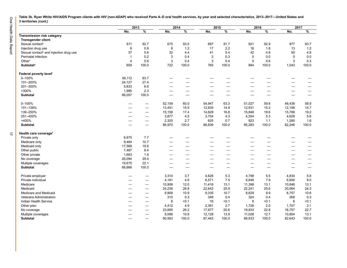Oral Health Data Report 17 Oral Health Data Report

**Table 3b. Ryan White HIV/AIDS Program clients with HIV (non-ADAP) who received Parts A–D oral health services, by year and selected characteristics, 2013–2017—United States and 3 territories** *(cont.)*

|                                                    |                          | 2013              |                          | 2014                     |                         | 2015                     |             | 2016                     | 2017   |                                  |
|----------------------------------------------------|--------------------------|-------------------|--------------------------|--------------------------|-------------------------|--------------------------|-------------|--------------------------|--------|----------------------------------|
|                                                    | No.                      | %                 | No.                      | %                        | No.                     | %                        | No.         | $\frac{9}{6}$            | No.    | $\overline{\%}$                  |
| Transmission risk category                         |                          |                   |                          |                          |                         |                          |             |                          |        |                                  |
| <b>Transgender client</b>                          |                          |                   |                          |                          |                         |                          |             |                          |        |                                  |
| Sexual contact <sup>e</sup>                        | 611                      | 92.7              | 675                      | 93.5                     | 697                     | 91.7                     | 821         | 92.9                     | 977    | 93.7                             |
| Injection drug use                                 | 6                        | 0.9               | 9                        | 1.2                      | 17                      | 2.2                      | 16          | 1.8                      | 13     | $1.2$                            |
| Sexual contact <sup>e</sup> and injection drug use | 37                       | 5.6               | 32                       | 4.4                      | 41                      | 5.4                      | 42          | 4.8                      | 50     | 4.8                              |
| Perinatal infection                                | $\overline{1}$           | 0.2               | 3                        | 0.4                      | $\overline{\mathbf{c}}$ | 0.3                      | $\mathbf 0$ | 0.0                      | 0      | 0.0                              |
| Other <sup>c</sup>                                 | $\overline{4}$           | 0.6               | 3                        | 0.4                      | 3                       | 0.4                      | 5           | 0.6                      | 3      | 0.3                              |
| <b>Subtotald</b>                                   | 659                      | 100.0             | 722                      | 100.0                    | 760                     | 100.0                    | 884         | 100.0                    | 1,043  | 100.0                            |
| Federal poverty levelf                             |                          |                   |                          |                          |                         |                          |             |                          |        |                                  |
| $0 - 100%$                                         | 56,112                   | 63.7              |                          | —                        |                         |                          |             |                          |        |                                  |
| 101-200%                                           | 24,127                   | 27.4              |                          | —                        |                         | $\overline{\phantom{0}}$ |             |                          |        |                                  |
| 201-300%                                           | 5,833                    | 6.6               |                          | —                        |                         | -                        |             |                          |        | -                                |
| >300%                                              | 1,985                    | 2.3               |                          | $\qquad \qquad -$        | ٠                       | —                        |             | -                        |        |                                  |
| Subtotal                                           | 88,057                   | 100.0             |                          |                          | --                      | —                        |             | -                        |        | —                                |
| $0 - 100%$                                         |                          |                   | 52,159                   | 60.0                     | 54,947                  | 63.3                     | 51,027      | 59.8                     | 48,438 | 58.9                             |
| 101-138%                                           |                          | -                 | 13,451                   | 15.5                     | 12,935                  | 14.9                     | 12,931      | 15.2                     | 12,106 | 14.7                             |
| 139-250%                                           | —                        |                   | 15,158                   | 17.4                     | 14,628                  | 16.8                     | 15,848      | 18.6                     | 15,789 | 19.2                             |
| 251-400%                                           | --                       |                   | 3,877                    | 4.5                      | 3,704                   | 4.3                      | 4,554       | 5.3                      | 4,628  | 5.6                              |
| >400%                                              | —                        | $\qquad \qquad -$ | 2,325                    | 2.7                      | 625                     | 0.7                      | 923         | 1.1                      | 1,285  | 1.6                              |
| <b>Subtotal</b>                                    |                          | $\qquad \qquad -$ | 86,970                   | 100.0                    | 86,839                  | 100.0                    | 85,283      | 100.0                    | 82,246 | 100.0                            |
| Health care coverage <sup>f</sup>                  |                          |                   |                          |                          |                         |                          |             |                          |        |                                  |
| Private only                                       | 6,875                    | 7.7               |                          | -                        |                         |                          |             |                          |        |                                  |
| Medicare only                                      | 9,484                    | 10.7              | —                        | $\overline{\phantom{0}}$ |                         | $\overline{\phantom{0}}$ |             | —                        |        | —                                |
| Medicaid only                                      | 17,568                   | 19.8              | $\overline{\phantom{0}}$ | $\overline{\phantom{0}}$ | -                       | —                        |             |                          |        | —                                |
| Other public                                       | 7,487                    | 8.4               | —                        | $\overline{\phantom{0}}$ | --                      | —                        |             |                          |        | —                                |
| Other private                                      | 1,683                    | 1.9               |                          |                          |                         |                          |             |                          |        |                                  |
| No coverage                                        | 26,094                   | 29.4              |                          | —                        | ٠                       | $\overline{\phantom{0}}$ | -           | -                        | -      |                                  |
| Multiple coverages                                 | 19,675                   | 22.1              |                          | —                        |                         | —                        |             |                          |        |                                  |
| <b>Subtotal</b>                                    | 88,866                   | 100.0             |                          | $\overline{\phantom{0}}$ |                         |                          |             | $\overline{\phantom{0}}$ |        | $\overbrace{\phantom{12322111}}$ |
| Private employer                                   |                          |                   | 3,314                    | 3.7                      | 4,628                   | 5.3                      | 4,798       | 5.5                      | 4,834  | 5.8                              |
| Private individual                                 | $\overline{\phantom{0}}$ | $\qquad \qquad -$ | 4,181                    | 4.6                      | 6,571                   | 7.5                      | 6,848       | 7.9                      | 6,600  | 8.0                              |
| Medicare                                           | -                        |                   | 10,908                   | 12.0                     | 11,416                  | 13.1                     | 11,398      | 13.1                     | 10,846 | 13.1                             |
| Medicaid                                           | —                        |                   | 24,236                   | 26.8                     | 22,642                  | 25.9                     | 22,241      | 25.6                     | 20,064 | 24.3                             |
| Medicare and Medicaid                              | -                        |                   | 9,908                    | 10.9                     | 9,335                   | 10.7                     | 8,629       | 9.9                      | 8,757  | 10.6                             |
| Veterans Administration                            | —                        |                   | 315                      | 0.3                      | 349                     | 0.4                      | 324         | 0.4                      | 268    | 0.3                              |
| Indian Health Service                              | -                        |                   | 8                        | < 0.1                    | 16                      | < 0.1                    | 8           | < 0.1                    | 6      | < 0.1                            |
| Other plan                                         | —                        |                   | 4,412                    | 4.9                      | 2,381                   | 2.7                      | 1,726       | 2.0                      | 1,707  | 2.1                              |
| No coverage                                        |                          | -                 | 23,685                   | 26.2                     | 17,977                  | 20.6                     | 19,833      | 22.8                     | 18,757 | 22.7                             |
| Multiple coverages                                 | —                        |                   | 9,596                    | 10.6                     | 12,128                  | 13.9                     | 11,028      | 12.7                     | 10,804 | 13.1                             |
| <b>Subtotal</b>                                    |                          | -                 | 90,563                   | 100.0                    | 87,443                  | 100.0                    | 86,833      | 100.0                    | 82,643 | 100.0                            |
|                                                    |                          |                   |                          |                          |                         |                          |             |                          |        |                                  |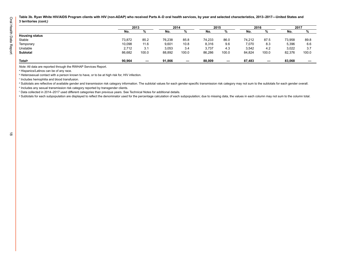**Table 3b. Ryan White HIV/AIDS Program clients with HIV (non-ADAP) who received Parts A–D oral health services, by year and selected characteristics, 2013–2017—United States and 3 territories** *(cont.)*

|                       |        | 2013  |        | 2014                     |        | 2015                     |        | 2016  |        | 2017  |
|-----------------------|--------|-------|--------|--------------------------|--------|--------------------------|--------|-------|--------|-------|
|                       | No.    |       | No.    | %                        | No.    | 70                       | No.    | %     | No.    | %     |
| <b>Housing status</b> |        |       |        |                          |        |                          |        |       |        |       |
| Stable                | 73,872 | 85.2  | 76,238 | 85.8                     | 74,233 | 86.0                     | 74,212 | 87.5  | 73,958 | 89.8  |
| Temporary             | 10,098 | 11.6  | 9,601  | 10.8                     | 8,316  | 9.6                      | 7,070  | 8.3   | 5,396  | 6.6   |
| Unstable              | 2,712  | 3.1   | 3,053  | 3.4                      | 3,737  | 4.3                      | 3,542  | 4.2   | 3,022  | 3.7   |
| <b>Subtotal</b>       | 86,682 | 100.0 | 88,892 | 100.0                    | 86,286 | 100.0                    | 84,824 | 100.0 | 82,376 | 100.0 |
| Total <sup>9</sup>    | 90.964 | -     | 91.866 | $\overline{\phantom{m}}$ | 88,009 | $\overline{\phantom{a}}$ | 87.483 |       | 83,068 |       |

*Note:* All data are reported through the RWHAP Services Report.

a Hispanics/Latinos can be of any race.

 $^{\rm b}$  Heterosexual contact with a person known to have, or to be at high risk for, HIV infection.

c Includes hemophilia and blood transfusion.

d Subtotals are reflective of available gender and transmission risk category information. The subtotal values for each gender-specific transmission risk category may not sum to the subtotals for each gender overall.

e Includes any sexual transmission risk category reported by transgender clients.

<sup>f</sup> Data collected in 2014–2017 used different categories than previous years. See Technical Notes for additional details.

<sup>g</sup> Subtotals for each subpopulation are displayed to reflect the denominator used for the percentage calculation of each subpopulation; due to missing data, the values in each column may not sum to the column total.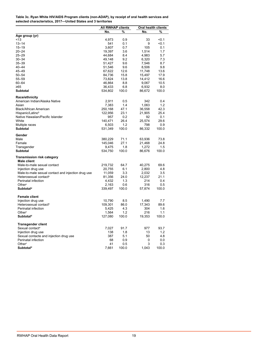<span id="page-22-0"></span>**Table 3c. Ryan White HIV/AIDS Program clients (non-ADAP), by receipt of oral health services and selected characteristics, 2017—United States and 3 territories**

|                                                    | All RWHAP clients |       | Oral health clients |       |
|----------------------------------------------------|-------------------|-------|---------------------|-------|
|                                                    | No.               | %     | No.                 | %     |
| Age group (yr)                                     |                   |       |                     |       |
| <13                                                | 4,973             | 0.9   | 33                  | $0.1$ |
| 13-14                                              | 541               | 0.1   | 9                   | < 0.1 |
| 15–19                                              | 3,607             | 0.7   | 105                 | 0.1   |
| 20–24                                              | 19,397            | 3.6   | 1,514               | 1.7   |
| 25–29                                              | 44,684            | 8.4   | 4,983               | 5.7   |
| 30–34                                              | 49,148            | 9.2   | 6,320               | 7.3   |
| 35–39                                              | 51,427            | 9.6   | 7,546               | 8.7   |
| 40–44                                              | 51,546            | 9.6   | 8,506               | 9.8   |
| 45–49                                              | 67,622            | 12.6  | 11,748              | 13.6  |
| 50–54                                              | 84,736            | 15.8  | 15,497              | 17.9  |
| 55–59                                              | 73,824            | 13.8  | 14,412              | 16.6  |
| 60–64                                              | 46,864            | 8.8   | 9,067               | 10.5  |
| ≥65                                                | 36,433            | 6.8   | 6,932               | 8.0   |
| Subtotal                                           | 534,802           | 100.0 | 86,672              | 100.0 |
| Race/ethnicity                                     |                   |       |                     |       |
| American Indian/Alaska Native                      | 2,911             | 0.5   | 342                 | 0.4   |
| Asian                                              | 7,383             | 1.4   | 1,063               | 1.2   |
| Black/African American                             | 250,168           | 47.1  | 36,558              | 42.3  |
| Hispanic/Latino <sup>b</sup>                       | 122,956           | 23.1  | 21,905              | 25.4  |
| Native Hawaiian/Pacific Islander                   | 957               | 0.2   | 92                  | 0.1   |
| White                                              | 140,471           | 26.4  | 25,574              | 29.6  |
| Multiple races                                     | 6,503             | 1.2   | 798                 | 0.9   |
| Subtotal                                           | 531,349           | 100.0 | 86,332              | 100.0 |
| Gender                                             |                   |       |                     |       |
| Male                                               | 380,229           | 71.1  | 63,936              | 73.8  |
| Female                                             | 145,046           | 27.1  | 21,468              | 24.8  |
| Transgender                                        | 9,475             | 1.8   | 1,272               | 1.5   |
| Subtotal                                           | 534,750           | 100.0 | 86,676              | 100.0 |
| Transmission risk category                         |                   |       |                     |       |
| Male client                                        |                   |       |                     |       |
| Male-to-male sexual contact                        | 219,732           | 64.7  | 40,275              | 69.6  |
| Injection drug use                                 | 20,755            | 6.1   | 2,800               | 4.8   |
| Male-to-male sexual contact and injection drug use | 11,059            | 3.3   | 2,032               | 3.5   |
| Heterosexual contact <sup>b</sup>                  | 81,356            | 24.0  | 12,237              | 21.1  |
| Perinatal infection                                | 4,432             | 1.3   | 214                 | 0.4   |
| Other <sup>c</sup>                                 | 2,163             | 0.6   | 316                 | 0.5   |
| <b>Subtotald</b>                                   | 339,497           | 100.0 | 57,874              | 100.0 |
|                                                    |                   |       |                     |       |
| <b>Female client</b>                               |                   |       |                     |       |
| Injection drug use                                 | 10,790            | 8.5   | 1,490               | 7.7   |
| Heterosexual contact <sup>b</sup>                  | 109,301           | 86.0  | 17,343              | 89.6  |
| Perinatal infection                                | 5,425             | 4.3   | 304                 | 1.6   |
| Other <sup>c</sup>                                 | 1,564             | 1.2   | 216                 | 1.1   |
| <b>Subtotald</b>                                   | 127,080           | 100.0 | 19,353              | 100.0 |
| <b>Transgender client</b>                          |                   |       |                     |       |
| Sexual contact <sup>e</sup>                        | 7,027             | 91.7  | 977                 | 93.7  |
| Injection drug use                                 | 138               | 1.8   | 13                  | 1.2   |
| Sexual contacte and injection drug use             | 387               | 5.1   | 50                  | 4.8   |
| Perinatal infection                                | 68                | 0.9   | 0                   | 0.0   |
| Other <sup>c</sup>                                 | 41                | 0.5   | 3                   | 0.3   |
| <b>Subtotald</b>                                   | 7,661             | 100.0 | 1,043               | 100.0 |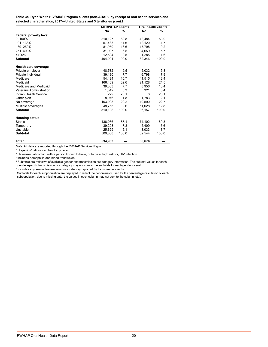**Table 3c. Ryan White HIV/AIDS Program clients (non-ADAP), by receipt of oral health services and selected characteristics, 2017—United States and 3 territories** *(cont.)*

|                                | <b>All RWHAP clients</b> |       |        | Oral health clients |
|--------------------------------|--------------------------|-------|--------|---------------------|
|                                | No.                      | %     | No.    | %                   |
| Federal poverty level          |                          |       |        |                     |
| $0 - 100%$                     | 310,127                  | 62.8  | 48,484 | 58.9                |
| 101-138%                       | 57.483                   | 11.6  | 12,120 | 14.7                |
| 139-250%                       | 81,950                   | 16.6  | 15,798 | 19.2                |
| 251-400%                       | 31,937                   | 6.5   | 4,659  | 5.7                 |
| >400%                          | 12,504                   | 2.5   | 1,285  | 1.6                 |
| <b>Subtotal</b>                | 494,001                  | 100.0 | 82,346 | 100.0               |
| Health care coverage           |                          |       |        |                     |
| Private employer               | 48,582                   | 9.5   | 5,032  | 5.8                 |
| Private individual             | 39.130                   | 7.7   | 6.798  | 7.9                 |
| Medicare                       | 54.424                   | 10.7  | 11.515 | 13.4                |
| Medicaid                       | 166,439                  | 32.6  | 21,128 | 24.5                |
| Medicare and Medicaid          | 39,303                   | 7.7   | 8,956  | 10.4                |
| <b>Veterans Administration</b> | 1,342                    | 0.3   | 321    | 0.4                 |
| Indian Health Service          | 229                      | < 0.1 | 6      | < 0.1               |
| Other plan                     | 8,976                    | 1.8   | 1,783  | 2.1                 |
| No coverage                    | 103,008                  | 20.2  | 19,590 | 22.7                |
| Multiple coverages             | 48,755                   | 9.6   | 11,028 | 12.8                |
| <b>Subtotal</b>                | 510,188                  | 100.0 | 86,157 | 100.0               |
| <b>Housing status</b>          |                          |       |        |                     |
| Stable                         | 436,036                  | 87.1  | 74,102 | 89.8                |
| Temporary                      | 39.203                   | 7.8   | 5,409  | 6.6                 |
| Unstable                       | 25.629                   | 5.1   | 3.033  | 3.7                 |
| <b>Subtotal</b>                | 500,868                  | 100.0 | 82,544 | 100.0               |
| <b>Total</b> <sup>f</sup>      | 534,903                  |       | 86,676 |                     |

*Note:* All data are reported through the RWHAP Services Report.

a Hispanics/Latinos can be of any race.

 $^{\rm b}$  Heterosexual contact with a person known to have, or to be at high risk for, HIV infection.

c Includes hemophilia and blood transfusion.

<sup>d</sup> Subtotals are reflective of available gender and transmission risk category information. The subtotal values for each gender-specific transmission risk category may not sum to the subtotals for each gender overall.

e Includes any sexual transmission risk category reported by transgender clients.

<sup>f</sup> Subtotals for each subpopulation are displayed to reflect the denominator used for the percentage calculation of each subpopulation; due to missing data, the values in each column may not sum to the column total.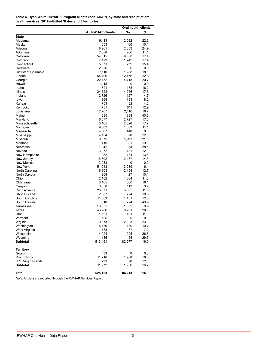<span id="page-24-0"></span>

| Table 4. Ryan White HIV/AIDS Program clients (non-ADAP), by state and receipt of oral |
|---------------------------------------------------------------------------------------|
| health services, 2017-United States and 3 territories                                 |

|                      |                          | Oral health clients |      |
|----------------------|--------------------------|---------------------|------|
|                      | <b>All RWHAP clients</b> | No.                 | %    |
| <b>State</b>         |                          |                     |      |
| Alabama              | 9,113                    | 2,032               | 22.3 |
| Alaska               | 653                      | 66                  | 10.1 |
| Arizona              | 8,261                    | 2,053               | 24.9 |
| Arkansas             | 2,388                    | 266                 | 11.1 |
| California           | 54,815                   | 9,550               | 17.4 |
| Colorado             | 7,129                    | 1,242               | 17.4 |
| Connecticut          | 5,071                    | 779                 | 15.4 |
| Delaware             | 2,056                    | 0                   | 0.0  |
| District of Columbia | 7,110                    | 1,288               | 18.1 |
| Florida              | 54,706                   | 12,476              | 22.8 |
| Georgia              | 22,752                   | 4,718               | 20.7 |
| Hawaii               | 1,118                    | 0                   | 0.0  |
| Idaho                | 821                      | 133                 | 16.2 |
| Illinois             | 24,628                   | 4,256               | 17.3 |
| Indiana              | 2,726                    | 127                 | 4.7  |
| lowa                 | 1,864                    | 153                 | 8.2  |
| Kansas               | 753                      | 32                  | 4.2  |
| Kentucky             | 4,751                    | 611                 | 12.9 |
| Louisiana            | 12,707                   | 2,116               | 16.7 |
| Maine                | 835                      | 338                 | 40.5 |
| Maryland             | 16,077                   | 2,727               | 17.0 |
| Massachusetts        | 13,165                   | 2,326               | 17.7 |
| Michigan             | 9,082                    | 1,009               | 11.1 |
| Minnesota            | 4,567                    | 448                 | 9.8  |
| Mississippi          | 4,134                    | 528                 | 12.8 |
| Missouri             | 8,875                    | 1,911               | 21.5 |
| Montana              | 419                      | 81                  | 19.3 |
| Nebraska             | 1,242                    | 354                 | 28.5 |
| Nevada               | 3,972                    | 481                 | 12.1 |
| New Hampshire        | 982                      | 134                 | 13.6 |
| New Jersey           | 16,802                   | 2,437               | 14.5 |
| New Mexico           | 2,083                    | 0                   | 0.0  |
| <b>New York</b>      | 51,048                   | 3,289               | 6.4  |
| North Carolina       | 16,903                   | 2,154               | 12.7 |
| North Dakota         | 268                      | 27                  | 10.1 |
| Ohio                 | 12,182                   | 1,364               | 11.2 |
| Oklahoma             | 3,105                    | 500                 | 16.1 |
| Oregon               | 3,558                    | 113                 | 3.2  |
| Pennsylvania         | 26,071                   | 3,065               | 11.8 |
| Rhode Island         | 2,067                    | 224                 | 10.8 |
| South Carolina       | 11,369                   | 1.451               | 12.8 |
| South Dakota         | 510                      | 224                 | 43.9 |
| Tennessee            | 13,655                   | 1,352               | 9.9  |
| Texas                | 43,266                   | 8,791               | 20.3 |
| Utah                 | 1,601                    | 191                 | 11.9 |
| Vermont              | 585                      | 0                   | 0.0  |
| Virginia             | 9,973                    | 2,323               | 23.3 |
| Washington           | 5,736                    | 1,130               | 19.7 |
| West Virginia        | 788                      | 57                  | 7.2  |
| Wisconsin            | 4,924                    | 1,295               | 26.3 |
| Wyoming              | 185                      | 55                  | 29.7 |
| <b>Subtotal</b>      | 513,451                  | 82,277              | 16.0 |
| <b>Territory</b>     |                          |                     |      |
| Guam                 | 33                       | 0                   | 0.0  |
| Puerto Rico          | 11,716                   | 1,908               | 16.3 |
| U.S. Virgin Islands  | 223                      | 28                  | 12.6 |
| <b>Subtotal</b>      | 11,972                   | 1,936               | 16.2 |
| Total                | 525,423                  | 84,213              | 16.0 |

*Note:* All data are reported through the RWHAP Services Report.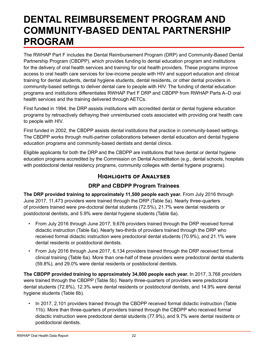### <span id="page-25-0"></span>**DENTAL REIMBURSEMENT PROGRAM AND COMMUNITY-BASED DENTAL PARTNERSHIP PROGRAM**

The RWHAP Part F includes the Dental Reimbursement Program (DRP) and Community-Based Dental Partnership Program (CBDPP), which provides funding to dental education program and institutions for the delivery of oral health services and training for oral health providers. These programs improve access to oral health care services for low-income people with HIV and support education and clinical training for dental students, dental hygiene students, dental residents, or other dental providers in community-based settings to deliver dental care to people with HIV. The funding of dental education programs and institutions differentiates RWHAP Part F DRP and CBDPP from RWHAP Parts A–D oral health services and the training delivered through AETCs.

First funded in 1994, the DRP assists institutions with accredited dental or dental hygiene education programs by retroactively defraying their unreimbursed costs associated with providing oral health care to people with HIV.

First funded in 2002, the CBDPP assists dental institutions that practice in community-based settings. The CBDPP works through multi-partner collaborations between dental education and dental hygiene education programs and community-based dentists and dental clinics.

Eligible applicants for both the DRP and the CBDPP are institutions that have dental or dental hygiene education programs accredited by the Commission on Dental Accreditation (e.g., dental schools, hospitals with postdoctoral dental residency programs, community colleges with dental hygiene programs).

### **Highlights of Analyses**

#### **DRP and CBDPP Program Trainees**

**The DRP provided training to approximately 11,500 people each year.** From July 2016 through June 2017, 11,473 providers were trained through the DRP (Table 5a). Nearly three-quarters of providers trained were pre-doctoral dental students (72.5%), 21.7% were dental residents or postdoctoral dentists, and 5.9% were dental hygiene students (Table 6a).

- From July 2016 through June 2017, 9,676 providers trained through the DRP received formal didactic instruction (Table 6a). Nearly two-thirds of providers trained through the DRP who received formal didactic instruction were predoctoral dental students (70.9%), and 21.1% were dental residents or postdoctoral dentists.
- From July 2016 through June 2017, 6,134 providers trained through the DRP received formal clinical training (Table 6a). More than one-half of these providers were predoctoral dental students (59.8%), and 29.0% were dental residents or postdoctoral dentists.

**The CBDPP provided training to approximately 34,000 people each year.** In 2017, 3,768 providers were trained through the CBDPP (Table 5b). Nearly three-quarters of providers were predoctoral dental students (72.8%), 12.3% were dental residents or postdoctoral dentists, and 14.9% were dental hygiene students (Table 6b).

• In 2017, 2,101 providers trained through the CBDPP received formal didactic instruction (Table 11b). More than three-quarters of providers trained through the CBDPP who received formal didactic instruction were predoctoral dental students (77.9%), and 9.7% were dental residents or postdoctoral dentists.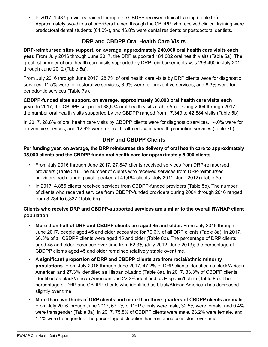• In 2017, 1,437 providers trained through the CBDPP received clinical training (Table 6b). Approximately two-thirds of providers trained through the CBDPP who received clinical training were predoctoral dental students (64.0%), and 16.8% were dental residents or postdoctoral dentists.

#### **DRP and CBDPP Oral Health Care Visits**

**DRP-reimbursed sites support, on average, approximately 240,000 oral health care visits each year.** From July 2016 through June 2017, the DRP supported 181,002 oral health visits (Table 5a). The greatest number of oral health care visits supported by DRP reimbursements was 298,490 in July 2011 through June 2012 (Table 5a).

From July 2016 through June 2017, 28.7% of oral health care visits by DRP clients were for diagnostic services, 11.5% were for restorative services, 8.9% were for preventive services, and 8.3% were for periodontic services (Table 7a).

**CBDPP-funded sites support, on average, approximately 30,000 oral health care visits each year.** In 2017, the CBDPP supported 38,634 oral health visits (Table 5b). During 2004 through 2017, the number oral health visits supported by the CBDPP ranged from 17,349 to 42,884 visits (Table 5b).

In 2017, 28.8% of oral health care visits by CBDPP clients were for diagnostic services, 14.0% were for preventive services, and 12.6% were for oral health education/health promotion services (Table 7b).

#### **DRP and CBDPP Clients**

**Per funding year, on average, the DRP reimburses the delivery of oral health care to approximately 35,000 clients and the CBDPP funds oral health care for approximately 5,000 clients.** 

- From July 2016 through June 2017, 27,847 clients received services from DRP-reimbursed providers (Table 5a). The number of clients who received services from DRP-reimbursed providers each funding cycle peaked at 41,464 clients (July 2011–June 2012) (Table 5a).
- In 2017, 4,855 clients received services from CBDPP-funded providers (Table 5b). The number of clients who received services from CBDPP-funded providers during 2004 through 2016 ranged from 3,234 to 6,337 (Table 5b).

#### **Clients who receive DRP and CBDPP-supported services are similar to the overall RWHAP client population.**

- **More than half of DRP and CBDPP clients are aged 45 and older.** From July 2016 through June 2017, people aged 45 and older accounted for 70.6% of all DRP clients (Table 8a). In 2017, 66.3% of all CBDPP clients were aged 45 and older (Table 8b). The percentage of DRP clients aged 45 and older increased over time from 52.3% (July 2012–June 2013); the percentage of CBDPP clients aged 45 and older remained relatively stable over time.
- **A significant proportion of DRP and CBDPP clients are from racial/ethnic minority populations.** From July 2016 through June 2017, 47.2% of DRP clients identified as black/African American and 27.3% identified as Hispanic/Latino (Table 8a). In 2017, 33.3% of CBDPP clients identified as black/African American and 22.3% identified as Hispanic/Latino (Table 8b). The percentage of DRP and CBDPP clients who identified as black/African American has decreased slightly over time.
- **More than two-thirds of DRP clients and more than three-quarters of CBDPP clients are male.**  From July 2016 through June 2017, 67.1% of DRP clients were male, 32.5% were female, and 0.4% were transgender (Table 8a). In 2017, 75.8% of CBDPP clients were male, 23.2% were female, and 1.1% were transgender. The percentage distribution has remained consistent over time.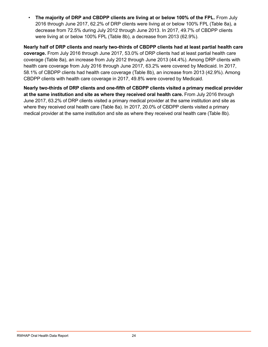• **The majority of DRP and CBDPP clients are living at or below 100% of the FPL.** From July 2016 through June 2017, 62.2% of DRP clients were living at or below 100% FPL (Table 8a), a decrease from 72.5% during July 2012 through June 2013. In 2017, 49.7% of CBDPP clients were living at or below 100% FPL (Table 8b), a decrease from 2013 (62.9%).

**Nearly half of DRP clients and nearly two-thirds of CBDPP clients had at least partial health care coverage.** From July 2016 through June 2017, 53.0% of DRP clients had at least partial health care coverage (Table 8a), an increase from July 2012 through June 2013 (44.4%). Among DRP clients with health care coverage from July 2016 through June 2017, 63.2% were covered by Medicaid. In 2017, 58.1% of CBDPP clients had health care coverage (Table 8b), an increase from 2013 (42.9%). Among CBDPP clients with health care coverage in 2017, 49.8% were covered by Medicaid.

**Nearly two-thirds of DRP clients and one-fifth of CBDPP clients visited a primary medical provider at the same institution and site as where they received oral health care.** From July 2016 through June 2017, 63.2% of DRP clients visited a primary medical provider at the same institution and site as where they received oral health care (Table 8a). In 2017, 20.0% of CBDPP clients visited a primary medical provider at the same institution and site as where they received oral health care (Table 8b).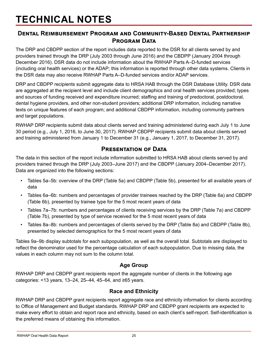# <span id="page-28-0"></span>**TECHNICAL NOTES**

#### **Dental Reimbursement Program and Community-Based Dental Partnership Program Data**

The DRP and CBDPP section of the report includes data reported to the DSR for all clients served by and providers trained through the DRP (July 2003 through June 2016) and the CBDPP (January 2004 through December 2016). DSR data do not include information about the RWHAP Parts A–D-funded services (including oral health services) or the ADAP; this information is reported through other data systems. Clients in the DSR data may also receive RWHAP Parts A–D-funded services and/or ADAP services.

DRP and CBDPP recipients submit aggregate data to HRSA HAB through the DSR Database Utility. DSR data are aggregated at the recipient level and include client demographics and oral health services provided; types and sources of funding received and expenditure incurred; staffing and training of predoctoral, postdoctoral, dental hygiene providers, and other non-student providers; additional DRP information, including narrative texts on unique features of each program; and additional CBDPP information, including community partners and target populations.

RWHAP DRP recipients submit data about clients served and training administered during each July 1 to June 30 period (e.g., July 1, 2016, to June 30, 2017). RWHAP CBDPP recipients submit data about clients served and training administered from January 1 to December 31 (e.g., January 1, 2017, to December 31, 2017).

#### **Presentation of Data**

The data in this section of the report include information submitted to HRSA HAB about clients served by and providers trained through the DRP (July 2003–June 2017) and the CBDPP (January 2004–December 2017). Data are organized into the following sections:

- Tables 5a–5b: overview of the DRP (Table 5a) and CBDPP (Table 5b), presented for all available years of data
- Tables 6a–6b: numbers and percentages of provider trainees reached by the DRP (Table 6a) and CBDPP (Table 6b), presented by trainee type for the 5 most recent years of data
- Tables 7a–7b: numbers and percentages of clients receiving services by the DRP (Table 7a) and CBDPP (Table 7b), presented by type of service received for the 5 most recent years of data
- Tables 8a–8b: numbers and percentages of clients served by the DRP (Table 8a) and CBDPP (Table 8b), presented by selected demographics for the 5 most recent years of data

Tables 9a–9b display subtotals for each subpopulation, as well as the overall total. Subtotals are displayed to reflect the denominator used for the percentage calculation of each subpopulation. Due to missing data, the values in each column may not sum to the column total.

#### **Age Group**

RWHAP DRP and CBDPP grant recipients report the aggregate number of clients in the following age categories: <13 years, 13–24, 25–44, 45–64, and ≥65 years.

#### **Race and Ethnicity**

RWHAP DRP and CBDPP grant recipients report aggregate race and ethnicity information for clients according to Office of Management and Budget standards. RWHAP DRP and CBDPP grant recipients are expected to make every effort to obtain and report race and ethnicity, based on each client's self-report. Self-identification is the preferred means of obtaining this information.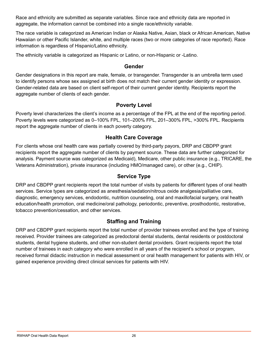Race and ethnicity are submitted as separate variables. Since race and ethnicity data are reported in aggregate, the information cannot be combined into a single race/ethnicity variable.

The race variable is categorized as American Indian or Alaska Native, Asian, black or African American, Native Hawaiian or other Pacific Islander, white, and multiple races (two or more categories of race reported). Race information is regardless of Hispanic/Latino ethnicity.

The ethnicity variable is categorized as Hispanic or Latino, or non-Hispanic or -Latino.

#### **Gender**

Gender designations in this report are male, female, or transgender. Transgender is an umbrella term used to identify persons whose sex assigned at birth does not match their current gender identity or expression. Gender-related data are based on client self-report of their current gender identity. Recipients report the aggregate number of clients of each gender.

#### **Poverty Level**

Poverty level characterizes the client's income as a percentage of the FPL at the end of the reporting period. Poverty levels were categorized as 0–100% FPL, 101–200% FPL, 201–300% FPL, >300% FPL. Recipients report the aggregate number of clients in each poverty category.

#### **Health Care Coverage**

For clients whose oral health care was partially covered by third-party payors, DRP and CBDPP grant recipients report the aggregate number of clients by payment source. These data are further categorized for analysis. Payment source was categorized as Medicaid), Medicare, other public insurance (e.g., TRICARE, the Veterans Administration), private insurance (including HMO/managed care), or other (e.g., CHIP).

#### **Service Type**

DRP and CBDPP grant recipients report the total number of visits by patients for different types of oral health services. Service types are categorized as anesthesia/sedation/nitrous oxide analgesia/palliative care, diagnostic, emergency services, endodontic, nutrition counseling, oral and maxillofacial surgery, oral health education/health promotion, oral medicine/oral pathology, periodontic, preventive, prosthodontic, restorative, tobacco prevention/cessation, and other services.

#### **Staffing and Training**

DRP and CBDPP grant recipients report the total number of provider trainees enrolled and the type of training received. Provider trainees are categorized as predoctoral dental students, dental residents or postdoctoral students, dental hygiene students, and other non-student dental providers. Grant recipients report the total number of trainees in each category who were enrolled in all years of the recipient's school or program, received formal didactic instruction in medical assessment or oral health management for patients with HIV, or gained experience providing direct clinical services for patients with HIV.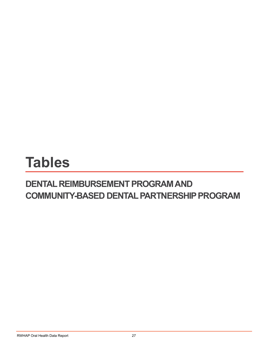# <span id="page-30-0"></span>**Tables**

### **DENTAL REIMBURSEMENT PROGRAM AND COMMUNITY-BASED DENTAL PARTNERSHIP PROGRAM**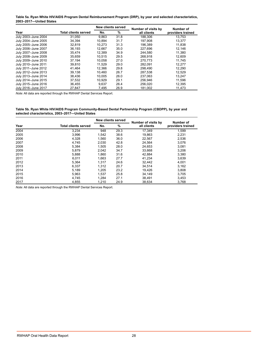<span id="page-31-0"></span>**Table 5a. Ryan White HIV/AIDS Program Dental Reimbursement Program (DRP), by year and selected characteristics, 2003–2017—United States**

|                     |                             | <b>New clients served</b> |      | Number of visits by | Number of         |
|---------------------|-----------------------------|---------------------------|------|---------------------|-------------------|
| Year                | <b>Total clients served</b> | No.                       | %    | all clients         | providers trained |
| July 2003-June 2004 | 31.050                      | 9.863                     | 31.8 | 188.306             | 13.753            |
| July 2004-June 2005 | 34.394                      | 10.894                    | 31.7 | 197.908             | 13.377            |
| July 2005-June 2006 | 32.819                      | 10.273                    | 31.3 | 196.389             | 11,838            |
| July 2006-June 2007 | 36,193                      | 12.667                    | 35.0 | 227,696             | 12,146            |
| July 2007-June 2008 | 35.474                      | 12.389                    | 34.9 | 244.580             | 11.380            |
| July 2008-June 2009 | 35.659                      | 10.515                    | 29.5 | 268.918             | 12.609            |
| July 2009-June 2010 | 37.194                      | 10.058                    | 27.0 | 270.773             | 11.745            |
| July 2010-June 2011 | 39,810                      | 11.529                    | 29.0 | 282.091             | 12,277            |
| July 2011-June 2012 | 41.464                      | 12.366                    | 29.8 | 298.490             | 12.290            |
| July 2012-June 2013 | 39.138                      | 10.460                    | 26.7 | 287,538             | 12,529            |
| July 2013-June 2014 | 38,436                      | 10.005                    | 26.0 | 237.063             | 13,247            |
| July 2014-June 2015 | 37.532                      | 10.929                    | 29.1 | 256.946             | 11.596            |
| July 2015-June 2016 | 36.455                      | 9.637                     | 26.4 | 256.020             | 12.395            |
| July 2016-June 2017 | 27,847                      | 7,495                     | 26.9 | 181,002             | 11,473            |

*Note:* All data are reported through the RWHAP Dental Services Report.

#### **Table 5b. Ryan White HIV/AIDS Program Community-Based Dental Partnership Program (CBDPP), by year and selected characteristics, 2003–2017—United States**

|      |                             |       | New clients served | Number of visits by | Number of         |
|------|-----------------------------|-------|--------------------|---------------------|-------------------|
| Year | <b>Total clients served</b> | No.   | %                  | all clients         | providers trained |
| 2004 | 3,234                       | 948   | 29.3               | 17,349              | 1,599             |
| 2005 | 3,996                       | 1,542 | 38.6               | 19,863              | 2,231             |
| 2006 | 4,328                       | 1.560 | 36.0               | 22,567              | 2,536             |
| 2007 | 4.745                       | 2,030 | 42.8               | 24,564              | 3.076             |
| 2008 | 5,384                       | 1.505 | 28.0               | 24,653              | 3,081             |
| 2009 | 5,879                       | 2,042 | 34.7               | 33,668              | 3,206             |
| 2010 | 5,888                       | 1,860 | 31.6               | 42,884              | 3,380             |
| 2011 | 6,011                       | 1.663 | 27.7               | 41,234              | 3,639             |
| 2012 | 5.364                       | 1.317 | 24.6               | 32,442              | 4,001             |
| 2013 | 6,337                       | 1,312 | 20.7               | 34,514              | 3,162             |
| 2014 | 5,189                       | 1.205 | 23.2               | 19,426              | 3,808             |
| 2015 | 5,963                       | 1,537 | 25.8               | 34,149              | 3,705             |
| 2016 | 4,745                       | 1,284 | 27.1               | 38,491              | 3,453             |
| 2017 | 4,855                       | 1,210 | 24.9               | 38,634              | 3,768             |

*Note:* All data are reported through the RWHAP Dental Services Report.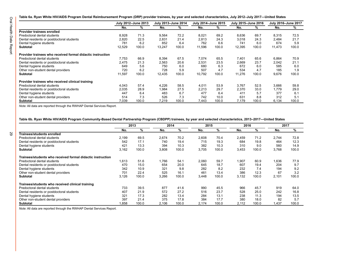29

<span id="page-32-0"></span>**Table 6a. Ryan White HIV/AIDS Program Dental Reimbursement Program (DRP) provider trainees, by year and selected characteristics, July 2012–July 2017—United States**

|                                                            |        | July 2012-June 2013 | July 2013-June 2014 |       | July 2014-June 2015 |       | July 2015-June 2016 |       | July 2016-June 2017 |       |
|------------------------------------------------------------|--------|---------------------|---------------------|-------|---------------------|-------|---------------------|-------|---------------------|-------|
|                                                            | No.    | %                   | No.                 | %     | No.                 | %     | No.                 | %     | No.                 | %     |
| Provider trainees enrolled                                 |        |                     |                     |       |                     |       |                     |       |                     |       |
| Predoctoral dental students                                | 8,928  | 71.3                | 9,564               | 72.2  | 8,021               | 69.2  | 8,636               | 69.7  | 8,315               | 72.5  |
| Dental residents or postdoctoral students                  | 2,820  | 22.5                | 2.831               | 21.4  | 2.813               | 24.3  | 3,018               | 24.3  | 2.484               | 21.7  |
| Dental hygiene students                                    | 781    | 6.2                 | 852                 | 6.4   | 762                 | 6.6   | 741                 | 6.0   | 674                 | 5.9   |
| <b>Subtotal</b>                                            | 12,529 | 100.0               | 13,247              | 100.0 | 11,596              | 100.0 | 12,395              | 100.0 | 11,473              | 100.0 |
| Provider trainees who received formal didactic instruction |        |                     |                     |       |                     |       |                     |       |                     |       |
| Predoctoral dental students                                | 7.753  | 66.9                | 8.394               | 67.5  | 7.074               | 65.5  | 7.401               | 65.6  | 6.864               | 70.9  |
| Dental residents or postdoctoral students                  | 2,475  | 21.3                | 2,563               | 20.6  | 2,531               | 23.5  | 2,669               | 23.7  | 2,042               | 21.1  |
| Dental hygiene students                                    | 649    | 5.6                 | 750                 | 6.0   | 680                 | 6.3   | 672                 | 6.0   | 585                 | 6.0   |
| Other non-student dental providers                         | 720    | 6.2                 | 728                 | 5.9   | 507                 | 4.7   | 534                 | 4.7   | 185                 | 1.9   |
| Subtotal                                                   | 11,597 | 100.0               | 12.435              | 100.0 | 10,792              | 100.0 | 11,276              | 100.0 | 9,676               | 100.0 |
| Provider trainees who received clinical training           |        |                     |                     |       |                     |       |                     |       |                     |       |
| Predoctoral dental students                                | 4.043  | 57.4                | 4,226               | 58.5  | 4,011               | 53.9  | 3,767               | 52.5  | 3.666               | 59.8  |
| Dental residents or postdoctoral students                  | 2.035  | 28.9                | 1.984               | 27.5  | 2.213               | 29.7  | 2,370               | 33.0  | 1.779               | 29.0  |
| Dental hygiene students                                    | 447    | 6.4                 | 483                 | 6.7   | 477                 | 6.4   | 411                 | 5.7   | 377                 | 6.1   |
| Other non-student dental providers                         | 514    | 7.3                 | 526                 | 7.3   | 742                 | 10.0  | 631                 | 8.8   | 312                 | 5.1   |
| <b>Subtotal</b>                                            | 7,039  | 100.0               | 7.219               | 100.0 | 7.443               | 100.0 | 7.179               | 100.0 | 6,134               | 100.0 |

*Note:* All data are reported through the RWHAP Dental Services Report.

**Table 6b. Ryan White HIV/AIDS Program Community-Based Dental Partnership Program (CBDPP) trainees, by year and selected characteristics, 2013–2017—United States**

|                                                            | 2013<br>2014<br>2015<br>2016 |       | 2017  |       |       |       |       |       |       |       |
|------------------------------------------------------------|------------------------------|-------|-------|-------|-------|-------|-------|-------|-------|-------|
|                                                            | No.                          | %     | No.   | %     | No.   | %     | No.   | %     | No.   | %     |
| Trainees/students enrolled                                 |                              |       |       |       |       |       |       |       |       |       |
| Predoctoral dental students                                | 2.199                        | 69.5  | 2,674 | 70.2  | 2,608 | 70.4  | 2,459 | 71.2  | 2.744 | 72.8  |
| Dental residents or postdoctoral students                  | 542                          | 17.1  | 740   | 19.4  | 715   | 19.3  | 684   | 19.8  | 464   | 12.3  |
| Dental hygiene students                                    | 421                          | 13.3  | 394   | 10.3  | 382   | 10.3  | 310   | 9.0   | 560   | 14.9  |
| Subtotal                                                   | 3,162                        | 100.0 | 3,808 | 100.0 | 3,705 | 100.0 | 3,453 | 100.0 | 3,768 | 100.0 |
| Trainees/students who received formal didactic instruction |                              |       |       |       |       |       |       |       |       |       |
| Predoctoral dental students                                | 1.613                        | 51.6  | .766  | 54.1  | 2.060 | 59.7  | 1.907 | 60.9  | 1.636 | 77.9  |
| Dental residents or postdoctoral students                  | 470                          | 15.0  | 654   | 20.0  | 645   | 18.7  | 607   | 19.4  | 204   | 9.7   |
| Dental hygiene students                                    | 342                          | 10.9  | 321   | 9.8   | 282   | 8.2   | 232   | 7.4   | 194   | 9.2   |
| Other non-student dental providers                         | 701                          | 22.4  | 525   | 16.1  | 461   | 13.4  | 386   | 12.3  | 67    | 3.2   |
| Subtotal                                                   | 3,126                        | 100.0 | 3,266 | 100.0 | 3,448 | 100.0 | 3,132 | 100.0 | 2,101 | 100.0 |
| Trainees/students who received clinical training           |                              |       |       |       |       |       |       |       |       |       |
| Predoctoral dental students                                | 733                          | 39.5  | 877   | 41.6  | 990   | 45.5  | 966   | 45.7  | 919   | 64.0  |
| Dental residents or postdoctoral students                  | 407                          | 21.9  | 572   | 27.2  | 516   | 23.7  | 528   | 25.0  | 242   | 16.8  |
| Dental hygiene students                                    | 321                          | 17.3  | 282   | 13.4  | 284   | 13.1  | 238   | 11.3  | 194   | 13.5  |
| Other non-student dental providers                         | 397                          | 21.4  | 375   | 17.8  | 384   | 17.7  | 380   | 18.0  | 82    | 5.7   |
| <b>Subtotal</b>                                            | 1,858                        | 100.0 | 2,106 | 100.0 | 2,174 | 100.0 | 2,112 | 100.0 | 1,437 | 100.0 |

*Note:* All data are reported through the RWHAP Dental Services Report.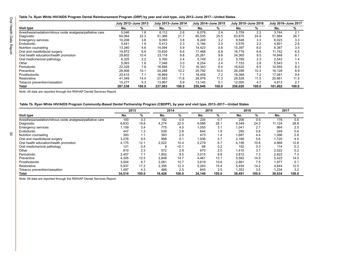<span id="page-33-0"></span>**Table 7a. Ryan White HIV/AIDS Program Dental Reimbursement Program (DRP) by year and visit type, July 2012–June 2017—United States**

|                                                             |         | July 2012-June 2013 |         | July 2013-June 2014 |         | July 2014-June 2015 |         | July 2015-June 2016 |         | July 2016-June 2017 |
|-------------------------------------------------------------|---------|---------------------|---------|---------------------|---------|---------------------|---------|---------------------|---------|---------------------|
| Visit type                                                  | No.     | %                   | No.     | %                   | No.     | %                   | No.     | %                   | No.     | %                   |
| Anesthesia/sedation/nitrous oxide analgesia/palliative care | 5,046   | 1.8                 | 6,112   | 2.6                 | 6,078   | 2.4                 | 5,759   | 2.2                 | 3,744   | 2.1                 |
| Diagnostic                                                  | 64.064  | 22.3                | 51.366  | 21.7                | 65.535  | 25.5                | 63.870  | 24.9                | 51.884  | 28.7                |
| <b>Emergency services</b>                                   | 10,208  | 3.6                 | 9,093   | 3.8                 | 8.249   | 3.2                 | 8.548   | 3.3                 | 6,023   | 3.3                 |
| Endodontic                                                  | 5,441   | 1.9                 | 5,412   | 2.3                 | 5,194   | 2.0                 | 5,576   | 2.2                 | 4,651   | 2.6                 |
| Nutrition counseling                                        | 13,340  | 4.6                 | 14.094  | 5.9                 | 14.423  | 5.6                 | 15,397  | 6.0                 | 6,387   | 3.5                 |
| Oral and maxillofacial surgery                              | 19.972  | 6.9                 | 15.630  | 6.6                 | 17.488  | 6.8                 | 16.779  | 6.6                 | 11.742  | 6.5                 |
| Oral health education/health promotion                      | 29.802  | 10.4                | 23,118  | 9.8                 | 25.261  | 9.8                 | 24.365  | 9.5                 | 14.648  | 8.1                 |
| Oral medicine/oral pathology                                | 6,325   | 2.2                 | 5,760   | 2.4                 | 5,749   | 2.2                 | 5,769   | 2.3                 | 2,542   | 1.4                 |
| Other                                                       | 5,063   | 1.8                 | 7,046   | 3.0                 | 6,254   | 2.4                 | 7,153   | 2.8                 | 5,543   | 3.1                 |
| Periodontic                                                 | 22.328  | 7.8                 | 16.695  | 7.0                 | 16.343  | 6.4                 | 16,620  | 6.5                 | 14,955  | 8.3                 |
| Preventive                                                  | 28.908  | 10.1                | 24.288  | 10.2                | 25.792  | 10.0                | 26.288  | 10.3                | 16.128  | 8.9                 |
| Prosthodontic                                               | 20,415  | 7.1                 | 16.869  | 7.1                 | 18.459  | 7.2                 | 18.368  | 7.2                 | 17.081  | 9.4                 |
| Restorative                                                 | 41.349  | 14.4                | 27.583  | 11.6                | 28.976  | 11.3                | 29.528  | 11.5                | 20.861  | 11.5                |
| Tobacco prevention/cessation                                | 15.277  | 5.3                 | 13.997  | 5.9                 | 13.145  | 5.1                 | 12.000  | 4.7                 | 4,813   | 2.7                 |
| Total                                                       | 287,538 | 100.0               | 237.063 | 100.0               | 256.946 | 100.0               | 256,020 | 100.0               | 181.002 | 100.0               |

*Note:* All data are reported through the RWHAP Dental Services Report.

**Table 7b. Ryan White HIV/AIDS Program Community-Based Dental Partnership Program (CBDPP), by year and visit type, 2013–2017—United States**

|                                                             | 2013   |       |        | 2014  |        | 2015  |        | 2016  |        | 2017  |
|-------------------------------------------------------------|--------|-------|--------|-------|--------|-------|--------|-------|--------|-------|
| <b>Visit type</b>                                           | No.    | %     | No.    | %     | No.    | %     | No.    | %     | No.    | %     |
| Anesthesia/sedation/nitrous oxide analgesia/palliative care | 100    | 0.3   | 182    | 0.9   | 234    | 0.7   | 206    | 0.5   | 178    | 0.5   |
| Diagnostic                                                  | 6,833  | 19.8  | 4,274  | 22.0  | 9,588  | 28.1  | 9,349  | 24.3  | 11.124 | 28.8  |
| <b>Emergency services</b>                                   | 1,159  | 3.4   | 775    | 4.0   | 1,055  | 3.1   | 1,041  | 2.7   | 964    | 2.5   |
| Endodontic                                                  | 447    | 1.3   | 539    | 2.8   | 644    | 1.9   | 290    | 0.8   | 249    | 0.6   |
| Nutrition counseling                                        | 393    | 1.1   | 393    | 2.0   | 473    | 1.4   | 1,687  | 4.4   | 1,096  | 2.8   |
| Oral and maxillofacial surgery                              | 3.276  | 9.5   | 998    | 5.1   | 1.936  | 5.7   | 2.166  | 5.6   | 1.720  | 4.5   |
| Oral health education/health promotion                      | 4.175  | 12.1  | 2.022  | 10.4  | 2,279  | 6.7   | 4.158  | 10.8  | 4,868  | 12.6  |
| Oral medicine/oral pathology                                | 121    | 0.4   | 9      | < 0.1 | 68     | 0.2   | 102    | 0.3   | 114    | 0.3   |
| Other                                                       | 810    | 2.3   | 572    | 2.9   | 670    | 2.0   | 1,410  | 3.7   | 2,022  | 5.2   |
| Periodontic                                                 | 2.457  | 7.1   | 1,852  | 9.5   | 3,015  | 8.8   | 2,812  | 7.3   | 2,822  | 7.3   |
| Preventive                                                  | 4,305  | 12.5  | 2.848  | 14.7  | 4,461  | 13.1  | 5,582  | 14.5  | 5,422  | 14.0  |
| Prosthodontic                                               | 3,004  | 8.7   | 2,081  | 10.7  | 3,618  | 10.6  | 2,881  | 7.5   | 1,977  | 5.1   |
| Restorative                                                 | 5,937  | 17.2  | 2.395  | 12.3  | 5.263  | 15.4  | 5,454  | 14.2  | 4,844  | 12.5  |
| Tobacco prevention/cessation                                | 1,497  | 4.3   | 486    | 2.5   | 845    | 2.5   | 1,353  | 3.5   | 1,234  | 3.2   |
| Total                                                       | 34,514 | 100.0 | 19,426 | 100.0 | 34,149 | 100.0 | 38,491 | 100.0 | 38,634 | 100.0 |

*Note:* All data are reported through the RWHAP Dental Services Report.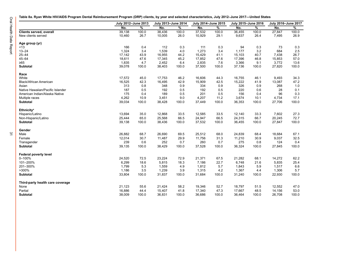<span id="page-34-0"></span>**Table 8a. Ryan White HIV/AIDS Program Dental Reimbursement Program (DRP) clients, by year and selected characteristics, July 2012–June 2017—United States**

| No.<br>%<br>%<br>%<br>%<br>No.<br>%<br>No.<br>No.<br>No.<br>37,532<br>100.0<br>39,138<br>100.0<br>38,436<br>100.0<br>100.0<br>36,455<br>100.0<br>27,847<br>Clients served, overall<br>New clients served<br>10,460<br>26.7<br>10,005<br>26.0<br>10,929<br>29.1<br>9.637<br>26.4<br>7,495<br>26.9<br>Age group (yr)<br>166<br>112<br>0.3<br>0.3<br>94<br>0.3<br>0.3<br>< 13<br>0.4<br>111<br>73<br>3.4<br>3.2<br>2.5<br>$13 - 24$<br>1,324<br>1,539<br>4.0<br>1,273<br>3.4<br>1,177<br>684<br>$25 - 44$<br>17,142<br>43.9<br>16,955<br>44.2<br>15,429<br>41.1<br>15,103<br>40.7<br>7,438<br>26.7<br>57.0<br>$45 - 64$<br>18,611<br>47.6<br>17,345<br>45.2<br>17,852<br>47.6<br>17,396<br>46.8<br>15,853<br>1,835<br>4.7<br>2,452<br>2,835<br>3,366<br>9.1<br>3,772<br>13.6<br>≥65<br>6.4<br>7.6<br>39,078<br>37,500<br>100.0<br><b>Subtotal</b><br>100.0<br>38,403<br>100.0<br>100.0<br>37,136<br>100.0<br>27,820<br>Race<br>34.3<br>White<br>17,572<br>45.0<br>17,753<br>46.2<br>16,606<br>44.3<br>16,755<br>46.1<br>9,493<br>16,525<br>42.3<br>42.9<br>42.5<br>41.9<br>47.2<br><b>Black/African American</b><br>16,495<br>15,909<br>15,222<br>13,087<br>313<br>326<br>0.8<br>348<br>0.9<br>334<br>0.9<br>0.9<br>268<br>1.0<br>Asian<br>Native Hawaiian/Pacific Islander<br>187<br>0.5<br>192<br>0.5<br>192<br>0.5<br>220<br>28<br>0.1<br>0.6<br>175<br>American Indian/Alaska Native<br>0.4<br>189<br>0.5<br>201<br>0.5<br>156<br>0.4<br>96<br>0.3<br>4,262<br>11.2<br>3,674<br>17.1<br>10.9<br>3,451<br>9.0<br>4,207<br>10.1<br>4,734<br>Multiple races<br>Subtotal<br>39,034<br>38,428<br>100.0<br>27,706<br>100.0<br>100.0<br>100.0<br>37,449<br>36,353<br>100.0<br><b>Ethnicity<sup>a</sup></b><br>13,694<br>35.0<br>12,868<br>12,585<br>33.3<br>7,602<br>27.3<br>Hispanic/Latino<br>33.5<br>33.5<br>12,140<br>25,444<br>65.0<br>25,568<br>66.7<br>20,245<br>72.7<br>Non-Hispanic/Latino<br>66.5<br>24,947<br>66.5<br>24,315<br>39,138<br>38,436<br>37,532<br>27,847<br>100.0<br>Subtotal<br>100.0<br>100.0<br>100.0<br>36,455<br>100.0<br>Gender<br>26,882<br>68.7<br>69.5<br>25,512<br>68.0<br>68.4<br>18,684<br>67.1<br>Male<br>26,690<br>24,839<br>12,014<br>30.7<br>11,487<br>29.9<br>11,756<br>31.3<br>11,210<br>30.9<br>9,037<br>32.5<br>Female<br>239<br>0.6<br>252<br>0.7<br>260<br>0.7<br>275<br>124<br>0.4<br>Transgender<br>0.8<br>39,135<br>38,429<br><b>Subtotal</b><br>100.0<br>100.0<br>37,528<br>100.0<br>36,324<br>100.0<br>27,845<br>100.0<br>Federal poverty level<br>0-100%<br>24,520<br>72.5<br>23,224<br>72.9<br>21,371<br>67.5<br>21,282<br>68.1<br>14,272<br>62.2<br>101-200%<br>6,299<br>22.7<br>6,748<br>25.4<br>18.6<br>5,815<br>18.3<br>7,186<br>21.6<br>5,835<br>201-300%<br>1,799<br>5.3<br>1,559<br>1,812<br>5.7<br>5.9<br>6.6<br>4.9<br>1,843<br>1,517<br>>300%<br>1,186<br>3.5<br>1,315<br>4.2<br>5.7<br>1,239<br>3.9<br>1,367<br>4.4<br>1,306 | July 2012-June 2013 | July 2013-June 2014 | July 2014-June 2015 | July 2015-June 2016 | July 2016-June 2017 |  |
|---------------------------------------------------------------------------------------------------------------------------------------------------------------------------------------------------------------------------------------------------------------------------------------------------------------------------------------------------------------------------------------------------------------------------------------------------------------------------------------------------------------------------------------------------------------------------------------------------------------------------------------------------------------------------------------------------------------------------------------------------------------------------------------------------------------------------------------------------------------------------------------------------------------------------------------------------------------------------------------------------------------------------------------------------------------------------------------------------------------------------------------------------------------------------------------------------------------------------------------------------------------------------------------------------------------------------------------------------------------------------------------------------------------------------------------------------------------------------------------------------------------------------------------------------------------------------------------------------------------------------------------------------------------------------------------------------------------------------------------------------------------------------------------------------------------------------------------------------------------------------------------------------------------------------------------------------------------------------------------------------------------------------------------------------------------------------------------------------------------------------------------------------------------------------------------------------------------------------------------------------------------------------------------------------------------------------------------------------------------------------------------------------------------------------------------------------------------------------------------------------------------------------------------------------------------------------------------------------------------------------------------------------------------------------------------------------------------------------------------------------------------------------------------------------------------------------------------------------------------------------------------|---------------------|---------------------|---------------------|---------------------|---------------------|--|
|                                                                                                                                                                                                                                                                                                                                                                                                                                                                                                                                                                                                                                                                                                                                                                                                                                                                                                                                                                                                                                                                                                                                                                                                                                                                                                                                                                                                                                                                                                                                                                                                                                                                                                                                                                                                                                                                                                                                                                                                                                                                                                                                                                                                                                                                                                                                                                                                                                                                                                                                                                                                                                                                                                                                                                                                                                                                                       |                     |                     |                     |                     |                     |  |
|                                                                                                                                                                                                                                                                                                                                                                                                                                                                                                                                                                                                                                                                                                                                                                                                                                                                                                                                                                                                                                                                                                                                                                                                                                                                                                                                                                                                                                                                                                                                                                                                                                                                                                                                                                                                                                                                                                                                                                                                                                                                                                                                                                                                                                                                                                                                                                                                                                                                                                                                                                                                                                                                                                                                                                                                                                                                                       |                     |                     |                     |                     |                     |  |
|                                                                                                                                                                                                                                                                                                                                                                                                                                                                                                                                                                                                                                                                                                                                                                                                                                                                                                                                                                                                                                                                                                                                                                                                                                                                                                                                                                                                                                                                                                                                                                                                                                                                                                                                                                                                                                                                                                                                                                                                                                                                                                                                                                                                                                                                                                                                                                                                                                                                                                                                                                                                                                                                                                                                                                                                                                                                                       |                     |                     |                     |                     |                     |  |
|                                                                                                                                                                                                                                                                                                                                                                                                                                                                                                                                                                                                                                                                                                                                                                                                                                                                                                                                                                                                                                                                                                                                                                                                                                                                                                                                                                                                                                                                                                                                                                                                                                                                                                                                                                                                                                                                                                                                                                                                                                                                                                                                                                                                                                                                                                                                                                                                                                                                                                                                                                                                                                                                                                                                                                                                                                                                                       |                     |                     |                     |                     |                     |  |
|                                                                                                                                                                                                                                                                                                                                                                                                                                                                                                                                                                                                                                                                                                                                                                                                                                                                                                                                                                                                                                                                                                                                                                                                                                                                                                                                                                                                                                                                                                                                                                                                                                                                                                                                                                                                                                                                                                                                                                                                                                                                                                                                                                                                                                                                                                                                                                                                                                                                                                                                                                                                                                                                                                                                                                                                                                                                                       |                     |                     |                     |                     |                     |  |
|                                                                                                                                                                                                                                                                                                                                                                                                                                                                                                                                                                                                                                                                                                                                                                                                                                                                                                                                                                                                                                                                                                                                                                                                                                                                                                                                                                                                                                                                                                                                                                                                                                                                                                                                                                                                                                                                                                                                                                                                                                                                                                                                                                                                                                                                                                                                                                                                                                                                                                                                                                                                                                                                                                                                                                                                                                                                                       |                     |                     |                     |                     |                     |  |
|                                                                                                                                                                                                                                                                                                                                                                                                                                                                                                                                                                                                                                                                                                                                                                                                                                                                                                                                                                                                                                                                                                                                                                                                                                                                                                                                                                                                                                                                                                                                                                                                                                                                                                                                                                                                                                                                                                                                                                                                                                                                                                                                                                                                                                                                                                                                                                                                                                                                                                                                                                                                                                                                                                                                                                                                                                                                                       |                     |                     |                     |                     |                     |  |
|                                                                                                                                                                                                                                                                                                                                                                                                                                                                                                                                                                                                                                                                                                                                                                                                                                                                                                                                                                                                                                                                                                                                                                                                                                                                                                                                                                                                                                                                                                                                                                                                                                                                                                                                                                                                                                                                                                                                                                                                                                                                                                                                                                                                                                                                                                                                                                                                                                                                                                                                                                                                                                                                                                                                                                                                                                                                                       |                     |                     |                     |                     |                     |  |
|                                                                                                                                                                                                                                                                                                                                                                                                                                                                                                                                                                                                                                                                                                                                                                                                                                                                                                                                                                                                                                                                                                                                                                                                                                                                                                                                                                                                                                                                                                                                                                                                                                                                                                                                                                                                                                                                                                                                                                                                                                                                                                                                                                                                                                                                                                                                                                                                                                                                                                                                                                                                                                                                                                                                                                                                                                                                                       |                     |                     |                     |                     |                     |  |
|                                                                                                                                                                                                                                                                                                                                                                                                                                                                                                                                                                                                                                                                                                                                                                                                                                                                                                                                                                                                                                                                                                                                                                                                                                                                                                                                                                                                                                                                                                                                                                                                                                                                                                                                                                                                                                                                                                                                                                                                                                                                                                                                                                                                                                                                                                                                                                                                                                                                                                                                                                                                                                                                                                                                                                                                                                                                                       |                     |                     |                     |                     |                     |  |
|                                                                                                                                                                                                                                                                                                                                                                                                                                                                                                                                                                                                                                                                                                                                                                                                                                                                                                                                                                                                                                                                                                                                                                                                                                                                                                                                                                                                                                                                                                                                                                                                                                                                                                                                                                                                                                                                                                                                                                                                                                                                                                                                                                                                                                                                                                                                                                                                                                                                                                                                                                                                                                                                                                                                                                                                                                                                                       |                     |                     |                     |                     |                     |  |
|                                                                                                                                                                                                                                                                                                                                                                                                                                                                                                                                                                                                                                                                                                                                                                                                                                                                                                                                                                                                                                                                                                                                                                                                                                                                                                                                                                                                                                                                                                                                                                                                                                                                                                                                                                                                                                                                                                                                                                                                                                                                                                                                                                                                                                                                                                                                                                                                                                                                                                                                                                                                                                                                                                                                                                                                                                                                                       |                     |                     |                     |                     |                     |  |
|                                                                                                                                                                                                                                                                                                                                                                                                                                                                                                                                                                                                                                                                                                                                                                                                                                                                                                                                                                                                                                                                                                                                                                                                                                                                                                                                                                                                                                                                                                                                                                                                                                                                                                                                                                                                                                                                                                                                                                                                                                                                                                                                                                                                                                                                                                                                                                                                                                                                                                                                                                                                                                                                                                                                                                                                                                                                                       |                     |                     |                     |                     |                     |  |
|                                                                                                                                                                                                                                                                                                                                                                                                                                                                                                                                                                                                                                                                                                                                                                                                                                                                                                                                                                                                                                                                                                                                                                                                                                                                                                                                                                                                                                                                                                                                                                                                                                                                                                                                                                                                                                                                                                                                                                                                                                                                                                                                                                                                                                                                                                                                                                                                                                                                                                                                                                                                                                                                                                                                                                                                                                                                                       |                     |                     |                     |                     |                     |  |
|                                                                                                                                                                                                                                                                                                                                                                                                                                                                                                                                                                                                                                                                                                                                                                                                                                                                                                                                                                                                                                                                                                                                                                                                                                                                                                                                                                                                                                                                                                                                                                                                                                                                                                                                                                                                                                                                                                                                                                                                                                                                                                                                                                                                                                                                                                                                                                                                                                                                                                                                                                                                                                                                                                                                                                                                                                                                                       |                     |                     |                     |                     |                     |  |
|                                                                                                                                                                                                                                                                                                                                                                                                                                                                                                                                                                                                                                                                                                                                                                                                                                                                                                                                                                                                                                                                                                                                                                                                                                                                                                                                                                                                                                                                                                                                                                                                                                                                                                                                                                                                                                                                                                                                                                                                                                                                                                                                                                                                                                                                                                                                                                                                                                                                                                                                                                                                                                                                                                                                                                                                                                                                                       |                     |                     |                     |                     |                     |  |
|                                                                                                                                                                                                                                                                                                                                                                                                                                                                                                                                                                                                                                                                                                                                                                                                                                                                                                                                                                                                                                                                                                                                                                                                                                                                                                                                                                                                                                                                                                                                                                                                                                                                                                                                                                                                                                                                                                                                                                                                                                                                                                                                                                                                                                                                                                                                                                                                                                                                                                                                                                                                                                                                                                                                                                                                                                                                                       |                     |                     |                     |                     |                     |  |
|                                                                                                                                                                                                                                                                                                                                                                                                                                                                                                                                                                                                                                                                                                                                                                                                                                                                                                                                                                                                                                                                                                                                                                                                                                                                                                                                                                                                                                                                                                                                                                                                                                                                                                                                                                                                                                                                                                                                                                                                                                                                                                                                                                                                                                                                                                                                                                                                                                                                                                                                                                                                                                                                                                                                                                                                                                                                                       |                     |                     |                     |                     |                     |  |
|                                                                                                                                                                                                                                                                                                                                                                                                                                                                                                                                                                                                                                                                                                                                                                                                                                                                                                                                                                                                                                                                                                                                                                                                                                                                                                                                                                                                                                                                                                                                                                                                                                                                                                                                                                                                                                                                                                                                                                                                                                                                                                                                                                                                                                                                                                                                                                                                                                                                                                                                                                                                                                                                                                                                                                                                                                                                                       |                     |                     |                     |                     |                     |  |
|                                                                                                                                                                                                                                                                                                                                                                                                                                                                                                                                                                                                                                                                                                                                                                                                                                                                                                                                                                                                                                                                                                                                                                                                                                                                                                                                                                                                                                                                                                                                                                                                                                                                                                                                                                                                                                                                                                                                                                                                                                                                                                                                                                                                                                                                                                                                                                                                                                                                                                                                                                                                                                                                                                                                                                                                                                                                                       |                     |                     |                     |                     |                     |  |
|                                                                                                                                                                                                                                                                                                                                                                                                                                                                                                                                                                                                                                                                                                                                                                                                                                                                                                                                                                                                                                                                                                                                                                                                                                                                                                                                                                                                                                                                                                                                                                                                                                                                                                                                                                                                                                                                                                                                                                                                                                                                                                                                                                                                                                                                                                                                                                                                                                                                                                                                                                                                                                                                                                                                                                                                                                                                                       |                     |                     |                     |                     |                     |  |
|                                                                                                                                                                                                                                                                                                                                                                                                                                                                                                                                                                                                                                                                                                                                                                                                                                                                                                                                                                                                                                                                                                                                                                                                                                                                                                                                                                                                                                                                                                                                                                                                                                                                                                                                                                                                                                                                                                                                                                                                                                                                                                                                                                                                                                                                                                                                                                                                                                                                                                                                                                                                                                                                                                                                                                                                                                                                                       |                     |                     |                     |                     |                     |  |
|                                                                                                                                                                                                                                                                                                                                                                                                                                                                                                                                                                                                                                                                                                                                                                                                                                                                                                                                                                                                                                                                                                                                                                                                                                                                                                                                                                                                                                                                                                                                                                                                                                                                                                                                                                                                                                                                                                                                                                                                                                                                                                                                                                                                                                                                                                                                                                                                                                                                                                                                                                                                                                                                                                                                                                                                                                                                                       |                     |                     |                     |                     |                     |  |
|                                                                                                                                                                                                                                                                                                                                                                                                                                                                                                                                                                                                                                                                                                                                                                                                                                                                                                                                                                                                                                                                                                                                                                                                                                                                                                                                                                                                                                                                                                                                                                                                                                                                                                                                                                                                                                                                                                                                                                                                                                                                                                                                                                                                                                                                                                                                                                                                                                                                                                                                                                                                                                                                                                                                                                                                                                                                                       |                     |                     |                     |                     |                     |  |
|                                                                                                                                                                                                                                                                                                                                                                                                                                                                                                                                                                                                                                                                                                                                                                                                                                                                                                                                                                                                                                                                                                                                                                                                                                                                                                                                                                                                                                                                                                                                                                                                                                                                                                                                                                                                                                                                                                                                                                                                                                                                                                                                                                                                                                                                                                                                                                                                                                                                                                                                                                                                                                                                                                                                                                                                                                                                                       |                     |                     |                     |                     |                     |  |
|                                                                                                                                                                                                                                                                                                                                                                                                                                                                                                                                                                                                                                                                                                                                                                                                                                                                                                                                                                                                                                                                                                                                                                                                                                                                                                                                                                                                                                                                                                                                                                                                                                                                                                                                                                                                                                                                                                                                                                                                                                                                                                                                                                                                                                                                                                                                                                                                                                                                                                                                                                                                                                                                                                                                                                                                                                                                                       |                     |                     |                     |                     |                     |  |
|                                                                                                                                                                                                                                                                                                                                                                                                                                                                                                                                                                                                                                                                                                                                                                                                                                                                                                                                                                                                                                                                                                                                                                                                                                                                                                                                                                                                                                                                                                                                                                                                                                                                                                                                                                                                                                                                                                                                                                                                                                                                                                                                                                                                                                                                                                                                                                                                                                                                                                                                                                                                                                                                                                                                                                                                                                                                                       |                     |                     |                     |                     |                     |  |
|                                                                                                                                                                                                                                                                                                                                                                                                                                                                                                                                                                                                                                                                                                                                                                                                                                                                                                                                                                                                                                                                                                                                                                                                                                                                                                                                                                                                                                                                                                                                                                                                                                                                                                                                                                                                                                                                                                                                                                                                                                                                                                                                                                                                                                                                                                                                                                                                                                                                                                                                                                                                                                                                                                                                                                                                                                                                                       |                     |                     |                     |                     |                     |  |
|                                                                                                                                                                                                                                                                                                                                                                                                                                                                                                                                                                                                                                                                                                                                                                                                                                                                                                                                                                                                                                                                                                                                                                                                                                                                                                                                                                                                                                                                                                                                                                                                                                                                                                                                                                                                                                                                                                                                                                                                                                                                                                                                                                                                                                                                                                                                                                                                                                                                                                                                                                                                                                                                                                                                                                                                                                                                                       |                     |                     |                     |                     |                     |  |
|                                                                                                                                                                                                                                                                                                                                                                                                                                                                                                                                                                                                                                                                                                                                                                                                                                                                                                                                                                                                                                                                                                                                                                                                                                                                                                                                                                                                                                                                                                                                                                                                                                                                                                                                                                                                                                                                                                                                                                                                                                                                                                                                                                                                                                                                                                                                                                                                                                                                                                                                                                                                                                                                                                                                                                                                                                                                                       |                     |                     |                     |                     |                     |  |
|                                                                                                                                                                                                                                                                                                                                                                                                                                                                                                                                                                                                                                                                                                                                                                                                                                                                                                                                                                                                                                                                                                                                                                                                                                                                                                                                                                                                                                                                                                                                                                                                                                                                                                                                                                                                                                                                                                                                                                                                                                                                                                                                                                                                                                                                                                                                                                                                                                                                                                                                                                                                                                                                                                                                                                                                                                                                                       |                     |                     |                     |                     |                     |  |
|                                                                                                                                                                                                                                                                                                                                                                                                                                                                                                                                                                                                                                                                                                                                                                                                                                                                                                                                                                                                                                                                                                                                                                                                                                                                                                                                                                                                                                                                                                                                                                                                                                                                                                                                                                                                                                                                                                                                                                                                                                                                                                                                                                                                                                                                                                                                                                                                                                                                                                                                                                                                                                                                                                                                                                                                                                                                                       |                     |                     |                     |                     |                     |  |
| Subtotal<br>33,804<br>100.0<br>31,837<br>100.0<br>31,684<br>100.0<br>31,240<br>100.0<br>22,930<br>100.0                                                                                                                                                                                                                                                                                                                                                                                                                                                                                                                                                                                                                                                                                                                                                                                                                                                                                                                                                                                                                                                                                                                                                                                                                                                                                                                                                                                                                                                                                                                                                                                                                                                                                                                                                                                                                                                                                                                                                                                                                                                                                                                                                                                                                                                                                                                                                                                                                                                                                                                                                                                                                                                                                                                                                                               |                     |                     |                     |                     |                     |  |
| Third-party health care coverage                                                                                                                                                                                                                                                                                                                                                                                                                                                                                                                                                                                                                                                                                                                                                                                                                                                                                                                                                                                                                                                                                                                                                                                                                                                                                                                                                                                                                                                                                                                                                                                                                                                                                                                                                                                                                                                                                                                                                                                                                                                                                                                                                                                                                                                                                                                                                                                                                                                                                                                                                                                                                                                                                                                                                                                                                                                      |                     |                     |                     |                     |                     |  |
| 52.7<br>47.0<br>21,123<br>55.6<br>21,424<br>58.2<br>19,346<br>18,797<br>51.5<br>12,552<br>None                                                                                                                                                                                                                                                                                                                                                                                                                                                                                                                                                                                                                                                                                                                                                                                                                                                                                                                                                                                                                                                                                                                                                                                                                                                                                                                                                                                                                                                                                                                                                                                                                                                                                                                                                                                                                                                                                                                                                                                                                                                                                                                                                                                                                                                                                                                                                                                                                                                                                                                                                                                                                                                                                                                                                                                        |                     |                     |                     |                     |                     |  |
| Partial<br>16,886<br>44.4<br>15,407<br>41.8<br>17,340<br>47.3<br>17,667<br>48.5<br>14,156<br>53.0                                                                                                                                                                                                                                                                                                                                                                                                                                                                                                                                                                                                                                                                                                                                                                                                                                                                                                                                                                                                                                                                                                                                                                                                                                                                                                                                                                                                                                                                                                                                                                                                                                                                                                                                                                                                                                                                                                                                                                                                                                                                                                                                                                                                                                                                                                                                                                                                                                                                                                                                                                                                                                                                                                                                                                                     |                     |                     |                     |                     |                     |  |
| 38,009<br>100.0<br>36,831<br>100.0<br>36,686<br>100.0<br>36,464<br>26,708<br>100.0<br><b>Subtotal</b><br>100.0                                                                                                                                                                                                                                                                                                                                                                                                                                                                                                                                                                                                                                                                                                                                                                                                                                                                                                                                                                                                                                                                                                                                                                                                                                                                                                                                                                                                                                                                                                                                                                                                                                                                                                                                                                                                                                                                                                                                                                                                                                                                                                                                                                                                                                                                                                                                                                                                                                                                                                                                                                                                                                                                                                                                                                        |                     |                     |                     |                     |                     |  |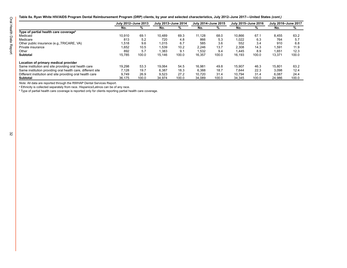Table 8a. Ryan White HIV/AIDS Program Dental Reimbursement Program (DRP) clients, by year and selected characteristics, July 2012-June 2017-United States (cont.)

|                                                             | July 2012-June 2013 |       | July 2013-June 2014 |       | July 2014-June 2015 |       | July 2015-June 2016 |       | July 2016-June 2017 |       |
|-------------------------------------------------------------|---------------------|-------|---------------------|-------|---------------------|-------|---------------------|-------|---------------------|-------|
|                                                             | No.                 | ℅     | No.                 | %     | No.                 | %     | No.                 | %     | No.                 | %     |
| Type of partial health care coverage <sup>b</sup>           |                     |       |                     |       |                     |       |                     |       |                     |       |
| Medicaid                                                    | 10.910              | 69.1  | 10.489              | 69.3  | 11.128              | 68.0  | 10.866              | 67.7  | 8.455               | 63.2  |
| Medicare                                                    | 813                 | 5.2   | 720                 | 4.8   | 866                 | 5.3   | 1.022               | 6.3   | 764                 | 5.7   |
| Other public insurance (e.g., TRICARE, VA)                  | 1,518               | 9.6   | 1.015               | 6.7   | 585                 | 3.6   | 552                 | 3.4   | 910                 | 6.8   |
| Private insurance                                           | 1.652               | 10.5  | 1.539               | 10.2  | 2.246               | 13.7  | 2,308               | 14.3  | .591                | 11.9  |
| Other                                                       | 892                 | 5.7   | 1,383               | 9.1   | 1.532               | 9.4   | 1.445               | 8.9   | 1.651               | 12.3  |
| <b>Subtotal</b>                                             | 15.785              | 100.0 | 15,146              | 100.0 | 16,357              | 100.0 | 16.193              | 100.0 | 13.371              | 100.0 |
| Location of primary medical provider                        |                     |       |                     |       |                     |       |                     |       |                     |       |
| Same institution and site providing oral health care        | 19.298              | 53.3  | 19.064              | 54.5  | 16.981              | 49.8  | 15.907              | 46.3  | 15.801              | 63.2  |
| Same institution providing oral health care, different site | 7.128               | 19.7  | 6.387               | 18.3  | 6.388               | 18.7  | 7.644               | 22.3  | 3.098               | 12.4  |
| Different institution and site providing oral health care   | 9.749               | 26.9  | 9.523               | 27.2  | 10.720              | 31.4  | 10.794              | 31.4  | 6.087               | 24.4  |
| <b>Subtotal</b>                                             | 36.175              | 100.0 | 34.974              | 100.0 | 34.089              | 100.0 | 34.345              | 100.0 | 24.986              | 100.0 |

*Note:* All data are reported through the RWHAP Dental Services Report.

a Ethnicity is collected separately from race. Hispanics/Latinos can be of any race.

 $^{\rm b}$  Type of partial health care coverage is reported only for clients reporting partial health care coverage.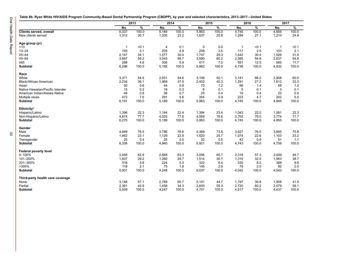<span id="page-36-0"></span>Oral Health Data Report 33 Oral Health Data Report

**Table 8b. Ryan White HIV/AIDS Program Community-Based Dental Partnership Program (CBDPP), by year and selected characteristics, 2013–2017—United States**

|                                  |                | 2013  | 2014           |       | 2015  |       | 2016         |       | 2017        |       |
|----------------------------------|----------------|-------|----------------|-------|-------|-------|--------------|-------|-------------|-------|
|                                  | No.            | %     | No.            | %     | No.   | %     | No.          | %     | No.         | %     |
| Clients served, overall          | 6,337          | 100.0 | 5,189          | 100.0 | 5,963 | 100.0 | 4,745        | 100.0 | 4,855       | 100.0 |
| New clients served               | 1,312          | 20.7  | 1,205          | 23.2  | 1,537 | 25.8  | 1,284        | 27.1  | 1,210       | 24.9  |
| Age group (yr)                   |                |       |                |       |       |       |              |       |             |       |
| < 13                             | $\overline{1}$ | < 0.1 | $\overline{4}$ | 0.1   | 0     | 0.0   | $\mathbf{1}$ | < 0.1 | $\mathbf 1$ | < 0.1 |
| $13 - 24$                        | 193            | 3.1   | 255            | 4.9   | 208   | 3.5   | 117          | 2.5   | 103         | 2.1   |
| $25 - 44$                        | 2,147          | 34.1  | 1,577          | 30.4  | 1,747 | 29.3  | 1,442        | 30.4  | 1,526       | 31.6  |
| $45 - 64$                        | 3,667          | 58.2  | 3,043          | 58.7  | 3,590 | 60.2  | 2,585        | 54.6  | 2,637       | 54.6  |
| $\geq 65$                        | 288            | 4.6   | 306            | 5.9   | 417   | 7.0   | 591          | 12.5  | 565         | 11.7  |
| Subtotal                         | 6,296          | 100.0 | 5,185          | 100.0 | 5,962 | 100.0 | 4,736        | 100.0 | 4,832       | 100.0 |
| Race                             |                |       |                |       |       |       |              |       |             |       |
| White                            | 3,371          | 54.5  | 2,831          | 54.6  | 3,106 | 52.1  | 3,141        | 66.2  | 2,908       | 60.0  |
| Black/African American           | 2,234          | 36.1  | 1,969          | 37.9  | 2,402 | 40.3  | 1,291        | 27.2  | 1,612       | 33.3  |
| Asian                            | 50             | 0.8   | 44             | 0.8   | 70    | 1.2   | 66           | 1.4   | 58          | 1.2   |
| Native Hawaiian/Pacific Islander | 15             | 0.2   | 16             | 0.3   | 6     | 0.1   | 5            | 0.1   | 3           | 0.1   |
| American Indian/Alaska Native    | 49             | 0.8   | 38             | 0.7   | 25    | 0.4   | 19           | 0.4   | 22          | 0.5   |
| Multiple races                   | 472            | 7.6   | 291            | 5.6   | 354   | 5.9   | 223          | 4.7   | 242         | 5.0   |
| Subtotal                         | 6,191          | 100.0 | 5,189          | 100.0 | 5,963 | 100.0 | 4,745        | 100.0 | 4,845       | 100.0 |
| <b>Ethnicity<sup>a</sup></b>     |                |       |                |       |       |       |              |       |             |       |
| Hispanic/Latino                  | 1,396          | 22.3  | 1,164          | 22.4  | 1,394 | 23.4  | 1,043        | 22.0  | 1,081       | 22.3  |
| Non-Hispanic/Latino              | 4,874          | 77.7  | 4,025          | 77.6  | 4,569 | 76.6  | 3,702        | 78.0  | 3,774       | 77.7  |
| <b>Subtotal</b>                  | 6,270          | 100.0 | 5,189          | 100.0 | 5,963 | 100.0 | 4,745        | 100.0 | 4,855       | 100.0 |
| Gender                           |                |       |                |       |       |       |              |       |             |       |
| Male                             | 4,849          | 76.5  | 3,786          | 76.6  | 4,369 | 73.8  | 3,627        | 76.5  | 3,605       | 75.8  |
| Female                           | 1,462          | 23.1  | 1,129          | 22.9  | 1,520 | 25.7  | 1,074        | 22.6  | 1,103       | 23.2  |
| Transgender                      | 25             | 0.4   | 25             | 0.5   | 32    | 0.5   | 42           | 0.9   | 51          | 1.1   |
| Subtotal                         | 6,336          | 100.0 | 4,940          | 100.0 | 5,921 | 100.0 | 4,743        | 100.0 | 4,759       | 100.0 |
| <b>Federal poverty level</b>     |                |       |                |       |       |       |              |       |             |       |
| 0-100%                           | 3,458          | 62.9  | 2,689          | 63.3  | 3,056 | 60.7  | 2,318        | 57.3  | 2,009       | 49.7  |
| 101-200%                         | 1,607          | 29.2  | 1,260          | 29.7  | 1,514 | 30.1  | 1,315        | 32.5  | 1,563       | 38.7  |
| 201-300%                         | 318            | 5.8   | 224            | 5.3   | 322   | 6.4   | 330          | 8.2   | 389         | 9.6   |
| >300%                            | 118            | 2.1   | 75             | 1.8   | 145   | 2.9   | 79           | 2.0   | 82          | 2.0   |
| <b>Subtotal</b>                  | 5,501          | 100.0 | 4,248          | 100.0 | 5,037 | 100.0 | 4,042        | 100.0 | 4,043       | 100.0 |
| Third-party health care coverage |                |       |                |       |       |       |              |       |             |       |
| None                             | 3,148          | 57.1  | 2,789          | 65.7  | 2,101 | 44.7  | 1,797        | 39.8  | 1,858       | 41.9  |
| Partial                          | 2,361          | 42.9  | 1,458          | 34.3  | 2,600 | 55.3  | 2,720        | 60.2  | 2,579       | 58.1  |
| <b>Subtotal</b>                  | 5,509          | 100.0 | 4,247          | 100.0 | 4,701 | 100.0 | 4,517        | 100.0 | 4,437       | 100.0 |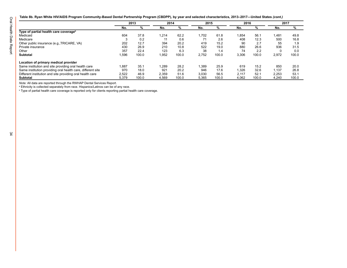**Table 8b. Ryan White HIV/AIDS Program Community-Based Dental Partnership Program (CBDPP), by year and selected characteristics, 2013–2017—United States** *(cont.)*

|                                                             |       | 2013  | 2014   |       | 2015  |       | 2016  |       | 2017  |       |
|-------------------------------------------------------------|-------|-------|--------|-------|-------|-------|-------|-------|-------|-------|
|                                                             | No.   | %     | No.    | %     | No.   | %     | No.   | %     | No.   | %     |
| Type of partial health care coverage <sup>b</sup>           |       |       |        |       |       |       |       |       |       |       |
| Medicaid                                                    | 604   | 37.8  | 1,214  | 62.2  | 1.702 | 61.8  | 1,854 | 56.1  | 1,481 | 49.8  |
| Medicare                                                    | 3     | 0.2   |        | 0.6   |       | 2.6   | 408   | 12.3  | 500   | 16.8  |
| Other public insurance (e.g., TRICARE, VA)                  | 202   | 12.7  | 394    | 20.2  | 419   | 15.2  | 90    | 2.7   | 55    | 1.9   |
| Private insurance                                           | 430   | 26.9  | 210    | 10.8  | 522   | 19.0  | 880   | 26.6  | 936   | 31.5  |
| Other                                                       | 357   | 22.4  | 123    | 6.3   | 38    | 1.4   | 74    | 2.2   |       | 0.0   |
| <b>Subtotal</b>                                             | 1,596 | 100.0 | 1,952  | 100.0 | 2,752 | 100.0 | 3,306 | 100.0 | 2,972 | 100.0 |
| Location of primary medical provider                        |       |       |        |       |       |       |       |       |       |       |
| Same institution and site providing oral health care        | 1,887 | 35.1  | 289. ا | 28.2  | 1,389 | 25.9  | 619   | 15.2  | 850   | 20.0  |
| Same institution providing oral health care, different site | 970   | 18.0  | 921    | 20.2  | 946   | 17.6  | 1.326 | 32.6  | 1.137 | 26.8  |
| Different institution and site providing oral health care   | 2,522 | 46.9  | 2.359  | 51.6  | 3.030 | 56.5  | 2.117 | 52.1  | 2,253 | 53.1  |
| <b>Subtotal</b>                                             | 5.379 | 100.0 | 4.569  | 100.0 | 5,365 | 100.0 | 4.062 | 100.0 | 4.240 | 100.0 |

*Note:* All data are reported through the RWHAP Dental Services Report.

a Ethnicity is collected separately from race. Hispanics/Latinos can be of any race.

 $^{\rm b}$  Type of partial health care coverage is reported only for clients reporting partial health care coverage.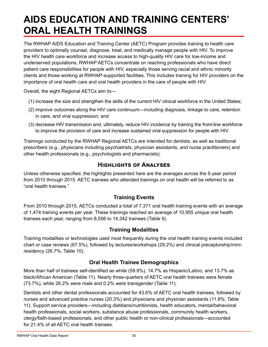## <span id="page-38-0"></span>**AIDS EDUCATION AND TRAINING CENTERS' ORAL HEALTH TRAININGS**

The RWHAP AIDS Education and Training Center (AETC) Program provides training to health care providers to optimally counsel, diagnose, treat, and medically manage people with HIV. To improve the HIV health care workforce and increase access to high-quality HIV care for low-income and underserved populations, RWHAP AETCs concentrate on reaching professionals who have direct patient care responsibilities for people with HIV, especially those serving racial and ethnic minority clients and those working at RWHAP-supported facilities. This includes training for HIV providers on the importance of oral health care and oral health providers in the care of people with HIV.

Overall, the eight Regional AETCs aim to—

- (1) increase the size and strengthen the skills of the current HIV clinical workforce in the United States;
- (2) improve outcomes along the HIV care continuum—including diagnosis, linkage to care, retention in care, and viral suppression; and
- (3) decrease HIV transmission and, ultimately, reduce HIV incidence by training the front-line workforce to improve the provision of care and increase sustained viral suppression for people with HIV.

Trainings conducted by the RWHAP Regional AETCs are intended for dentists, as well as traditional prescribers (e.g., physicians including psychiatrists, physician assistants, and nurse practitioners) and other health professionals (e.g., psychologists and pharmacists).

#### **Highlights of Analyses**

Unless otherwise specified, the highlights presented here are the averages across the 5-year period from 2010 through 2015. AETC trainees who attended trainings on oral health will be referred to as "oral health trainees."

#### **Training Events**

From 2010 through 2015, AETCs conducted a total of 7,371 oral health training events with an average of 1,474 training events per year. These trainings reached an average of 10,955 unique oral health trainees each year, ranging from 8,556 to 14,342 trainees (Table 9).

#### **Training Modalities**

Training modalities or technologies used most frequently during the oral health training events included chart or case reviews (67.5%), followed by lectures/workshops (29.2%) and clinical preceptorship/miniresidency (26.7%; Table 10).

#### **Oral Health Trainee Demographics**

More than half of trainees self-identified as white (59.9%), 14.7% as Hispanic/Latino, and 13.7% as black/African American (Table 11). Nearly three-quarters of AETC oral health trainees were female (73.7%), while 26.2% were male and 0.2% were transgender (Table 11).

Dentists and other dental professionals accounted for 43.6% of AETC oral health trainees, followed by nurses and advanced practice nurses (20.3%) and physicians and physician assistants (11.8%; Table 11). Support service providers—including dietitians/nutritionists, health educators, mental/behavioral health professionals, social workers, substance abuse professionals, community health workers, clergy/faith-based professionals, and other public health or non-clinical professionals—accounted for 21.4% of all AETC oral health trainees.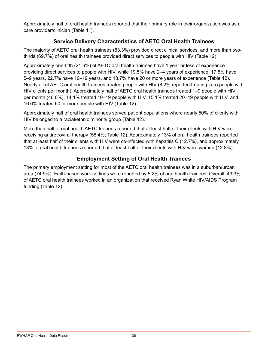Approximately half of oral health trainees reported that their primary role in their organization was as a care provider/clinician (Table 11).

#### **Service Delivery Characteristics of AETC Oral Health Trainees**

The majority of AETC oral health trainees (83.3%) provided direct clinical services, and more than twothirds (69.7%) of oral health trainees provided direct services to people with HIV (Table 12).

Approximately one-fifth (21.6%) of AETC oral health trainees have 1 year or less of experience providing direct services to people with HIV, while 19.5% have 2–4 years of experience, 17.5% have 5–9 years, 22.7% have 10–19 years, and 18.7% have 20 or more years of experience (Table 12). Nearly all of AETC oral health trainees treated people with HIV (8.2% reported treating zero people with HIV clients per month). Approximately half of AETC oral health trainees treated 1–9 people with HIV per month (46.0%), 14.1% treated 10–19 people with HIV, 15.1% treated 20–49 people with HIV, and 16.6% treated 50 or more people with HIV (Table 12).

Approximately half of oral health trainees served patient populations where nearly 50% of clients with HIV belonged to a racial/ethnic minority group (Table 12).

More than half of oral health AETC trainees reported that at least half of their clients with HIV were receiving antiretroviral therapy (58.4%; Table 12). Approximately 13% of oral health trainees reported that at least half of their clients with HIV were co-infected with hepatitis C (12.7%), and approximately 13% of oral health trainees reported that at least half of their clients with HIV were women (12.8%).

#### **Employment Setting of Oral Health Trainees**

The primary employment setting for most of the AETC oral health trainees was in a suburban/urban area (74.9%). Faith-based work settings were reported by 5.2% of oral health trainees. Overall, 43.3% of AETC oral health trainees worked in an organization that received Ryan White HIV/AIDS Program funding (Table 12).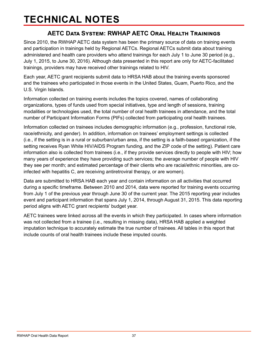### <span id="page-40-0"></span>**TECHNICAL NOTES**

### **AETC Data System: RWHAP AETC Oral Health Trainings**

Since 2010, the RWHAP AETC data system has been the primary source of data on training events and participation in trainings held by Regional AETCs. Regional AETCs submit data about training administered and health care providers who attend trainings for each July 1 to June 30 period (e.g., July 1, 2015, to June 30, 2016). Although data presented in this report are only for AETC-facilitated trainings, providers may have received other trainings related to HIV.

Each year, AETC grant recipients submit data to HRSA HAB about the training events sponsored and the trainees who participated in those events in the United States, Guam, Puerto Rico, and the U.S. Virgin Islands.

Information collected on training events includes the topics covered, names of collaborating organizations, types of funds used from special initiatives, type and length of sessions, training modalities or technologies used, the total number of oral health trainees in attendance, and the total number of Participant Information Forms (PIFs) collected from participating oral health trainees.

Information collected on trainees includes demographic information (e.g., profession, functional role, race/ethnicity, and gender). In addition, information on trainees' employment settings is collected (i.e., if the setting is in a rural or suburban/urban area, if the setting is a faith-based organization, if the setting receives Ryan White HIV/AIDS Program funding, and the ZIP code of the setting). Patient care information also is collected from trainees (i.e., if they provide services directly to people with HIV; how many years of experience they have providing such services; the average number of people with HIV they see per month; and estimated percentage of their clients who are racial/ethnic minorities, are coinfected with hepatitis C, are receiving antiretroviral therapy, or are women).

Data are submitted to HRSA HAB each year and contain information on all activities that occurred during a specific timeframe. Between 2010 and 2014, data were reported for training events occurring from July 1 of the previous year through June 30 of the current year. The 2015 reporting year includes event and participant information that spans July 1, 2014, through August 31, 2015. This data reporting period aligns with AETC grant recipients' budget year.

AETC trainees were linked across all the events in which they participated. In cases where information was not collected from a trainee (i.e., resulting in missing data), HRSA HAB applied a weighted imputation technique to accurately estimate the true number of trainees. All tables in this report that include counts of oral health trainees include these imputed counts.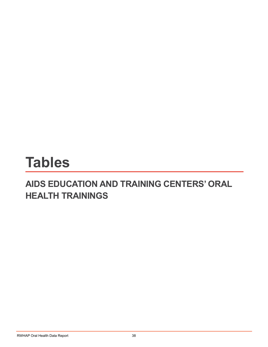# <span id="page-41-0"></span>**Tables**

### **AIDS EDUCATION AND TRAINING CENTERS' ORAL HEALTH TRAININGS**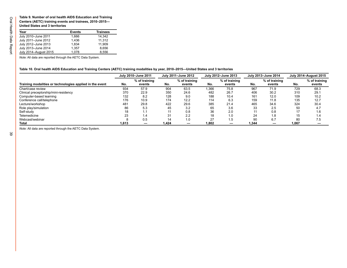#### <span id="page-42-0"></span>**Table 9. Number of oral health AIDS Education and Training Centers (AETC) training events and trainees, 2010–2015— United States and 3 territories**

| Year                  | <b>Events</b> | <b>Trainees</b> |
|-----------------------|---------------|-----------------|
| July 2010-June 2011   | 1.666         | 14.342          |
| July 2011-June 2012   | 1,436         | 11,312          |
| July 2012-June 2013   | 1.834         | 11.909          |
| July 2013-June 2014   | 1,357         | 8,656           |
| July 2014-August 2015 | 1,078         | 8,556           |

*Note:* All data are reported through the AETC Data System.

#### **Table 10. Oral health AIDS Education and Training Centers (AETC) training modalities by year, 2010–2015—United States and 3 territories**

|                                                          |       | July 2010-June 2011      |       | July 2011-June 2012     |       | July 2012-June 2013     |       | July 2013-June 2014     |       | <b>July 2014-August 2015</b> |
|----------------------------------------------------------|-------|--------------------------|-------|-------------------------|-------|-------------------------|-------|-------------------------|-------|------------------------------|
| Training modalities or technologies applied in the event | No.   | % of training<br>events  | No.   | % of training<br>events | No.   | % of training<br>events | No.   | % of training<br>events | No.   | % of training<br>events      |
| Chart/case review                                        | 934   | 57.9                     | 904   | 63.5                    | .366  | 75.8                    | 967   | 71.9                    | 729   | 68.3                         |
| Clinical preceptorship/mini-residency                    | 370   | 22.9                     | 350   | 24.6                    | 482   | 26.7                    | 406   | 30.2                    | 310   | 29.1                         |
| Computer-based learning                                  | 132   | 8.2                      | 128   | 9.0                     | 188   | 10.4                    | 161   | 12.0                    | 109   | 10.2                         |
| Conference call/telephone                                | 176   | 10.9                     | 174   | 12.2                    | 114   | 6.3                     | 159   | 11.8                    | 135   | 12.7                         |
| Lecture/workshop                                         | 481   | 29.8                     | 422   | 29.6                    | 385   | 21.4                    | 465   | 34.6                    | 324   | 30.4                         |
| Role play/simulation                                     | 86    | 5.3                      | 45    | 3.2                     | 65    | 3.6                     |       | 2.5                     | 50    | 4.7                          |
| Self-study                                               | 18    | 1.1                      | 11    | 0.8                     | 36    | 2.0                     |       | 0.8                     | 17    | 1.6                          |
| Telemedicine                                             | 23    | 1.4                      | 31    | 2.2                     | 18    | 1.0                     | 24    | 1.8                     | 15    | 1.4                          |
| Webcast/webinar                                          |       | 0.5                      | 14    | 1.0                     | 27    | 1.5                     | 90    | 6.7                     | 80    | 7.5                          |
| <b>Total</b>                                             | 1,613 | $\overline{\phantom{0}}$ | 1,424 |                         | 1,802 |                         | 1,344 | -                       | 1,067 |                              |

*Note:* All data are reported through the AETC Data System.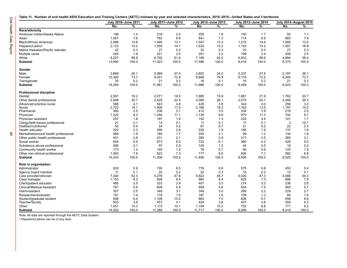$\overline{40}$ 

<span id="page-43-0"></span>

| Table 11.  Number of oral health AIDS Education and Training Centers (AETC) trainees by year and selected characteristics, 2010–2015—United States and 3 territories |  |  |  |  |  |  |
|----------------------------------------------------------------------------------------------------------------------------------------------------------------------|--|--|--|--|--|--|
|----------------------------------------------------------------------------------------------------------------------------------------------------------------------|--|--|--|--|--|--|

|                                       |        | July 2010-June 2011 |        | July 2011-June 2012 |        | July 2012-June 2013 |       | July 2013-June 2014 | <b>July 2014-August 2015</b> |       |
|---------------------------------------|--------|---------------------|--------|---------------------|--------|---------------------|-------|---------------------|------------------------------|-------|
|                                       | No.    | %                   | No.    | ℅                   | No.    | %                   | No.   | %                   | No.                          | ℅     |
| Race/ethnicity                        |        |                     |        |                     |        |                     |       |                     |                              |       |
| American Indian/Alaska Native         | 199    | 1.4                 | 216    | 2.0                 | 205    | 1.8                 | 140   | 1.7                 | 92                           | 1.1   |
| Asian                                 | 1,067  | 7.6                 | 762    | 6.9                 | 841    | 7.3                 | 714   | 8.5                 | 665                          | 7.9   |
| Black/African American                | 2,068  | 14.8                | 1,446  | 13.1                | 1,547  | 13.3                | 1,215 | 14.4                | 1,085                        | 13.0  |
| Hispanic/Latino <sup>a</sup>          | 2,123  | 15.2                | 1,559  | 14.1                | 1,532  | 13.2                | 1,193 | 14.2                | 1,407                        | 16.8  |
| Native Hawaiian/Pacific Islander      | 42     | 0.3                 | 27     | 0.2                 | 32     | 0.3                 | 23    | 0.3                 | 27                           | 0.3   |
| Multiple races                        | 245    | 1.8                 | 221    | 2.0                 | 251    | 2.2                 | 199   | 2.4                 | 206                          | 2.5   |
| White                                 | 8,207  | 58.8                | 6,792  | 61.6                | 7,189  | 62.0                | 4,933 | 58.6                | 4,894                        | 58.4  |
|                                       |        |                     |        |                     |        | 100.0               |       |                     |                              |       |
| <b>Subtotal</b>                       | 13,950 | 100.0               | 11,023 | 100.0               | 11,596 |                     | 8,416 | 100.0               | 8,375                        | 100.0 |
| Gender                                |        |                     |        |                     |        |                     |       |                     |                              |       |
| Male                                  | 3,669  | 26.1                | 2,989  | 27.0                | 2,802  | 24.0                | 2,337 | 27.6                | 2.197                        | 26.1  |
| Female                                | 10,360 | 73.7                | 8,051  | 72.8                | 8,868  | 75.9                | 6,116 | 72.2                | 6,205                        | 73.7  |
| Transgender                           | 25     | 0.2                 | 21     | 0.2                 | 16     | 0.1                 | 16    | 0.2                 | 21                           | 0.2   |
| <b>Subtotal</b>                       | 14,054 | 100.0               | 11,061 | 100.0               | 11,686 | 100.0               | 8,469 | 100.0               | 8,423                        | 100.0 |
| <b>Professional discipline</b>        |        |                     |        |                     |        |                     |       |                     |                              |       |
| Dentist                               | 2,591  | 18.2                | 2,071  | 18.5                | 1,885  | 15.9                | 1,881 | 21.9                | 1,762                        | 20.7  |
| Other dental professional             | 2,946  | 20.7                | 2,525  | 22.5                | 3,089  | 26.1                | 2,075 | 24.1                | 2,495                        | 29.3  |
| Advanced practice nurse               | 586    | 4.1                 | 543    | 4.8                 | 429    | 3.6                 | 344   | 4.0                 | 256                          | 3.0   |
| Nurse                                 | 2.722  | 19.1                | 1,909  | 17.0                | 2,169  | 18.3                | 1,162 | 13.5                | 1,197                        | 14.0  |
| Pharmacist                            | 360    | 2.5                 | 236    | 2.1                 | 412    | 3.5                 | 334   | 3.9                 | 216                          | 2.5   |
| Physician                             | 1,322  | 9.3                 | 1,246  | 11.1                | 1,139  | 9.6                 | 970   | 11.3                | 742                          | 8.7   |
| Physician assistant                   | 257    | 1.8                 | 197    | 1.8                 | 152    | 1.3                 | 225   | 2.6                 | 141                          | 1.7   |
| Clergy/faith-based professional       | 21     | 0.1                 | 14     | 0.1                 | 11     | 0.1                 | 11    | 0.1                 | 3                            | < 0.1 |
| Dietitian/nutritionist                | 52     | 0.4                 | 24     | 0.2                 | 87     | 0.7                 | 21    | 0.2                 | 22                           | 0.3   |
| <b>Health educator</b>                | 322    | 2.3                 | 290    | 2.6                 | 226    | 1.9                 | 165   | 1.9                 | 137                          | 1.6   |
| Mental/behavioral health professional | 268    | 1.9                 | 189    | 1.7                 | 245    | 2.1                 | 99    | 1.2                 | 134                          | 1.6   |
| Other public health professional      | 401    | 2.8                 | 231    | 2.1                 | 289    | 2.4                 | 217   | 2.5                 | 265                          | 3.1   |
| Social worker                         | 844    | 5.9                 | 673    | 6.0                 | 722    | 6.1                 | 360   | 4.2                 | 428                          | 5.0   |
| Substance abuse professional          | 295    | 2.1                 | 97     | 0.9                 | 145    | 1.2                 | 44    | 0.5                 | 18                           | 0.2   |
| Community health worker               | 173    | 1.2                 | 140    | 1.2                 | 78     | 0.7                 | 80    | 0.9                 | 125                          | 1.5   |
| Other non-clinical professional       | 1,083  | 7.6                 | 823    | 7.3                 | 777    | 6.6                 | 606   | 7.1                 | 582                          | 6.8   |
| <b>Subtotal</b>                       | 14,243 | 100.0               | 11,208 | 100.0               | 11,856 | 100.0               | 8,595 | 100.0               | 8,525                        | 100.0 |
| Role in organization                  |        |                     |        |                     |        |                     |       |                     |                              |       |
| Administrator                         | 833    | 5.9                 | 726    | 6.5                 | 776    | 6.6                 | 575   | 6.8                 | 453                          | 5.4   |
| Agency board member                   | 11     | 0.1                 | 20     | 0.2                 | 32     | 0.3                 | 15    | 0.2                 | 12                           | 0.1   |
| Care provider/clinician               | 7,340  | 52.3                | 5,278  | 47.6                | 5,822  | 49.7                | 4,020 | 47.3                | 4,566                        | 54.3  |
| Case manager                          | 1,153  | 8.2                 | 926    | 8.4                 | 984    | 8.4                 | 625   | 7.3                 | 666                          | 7.9   |
| Client/patient educator               | 485    | 3.5                 | 323    | 2.9                 | 407    | 3.5                 | 274   | 3.2                 | 238                          | 2.8   |
| <b>Clinical/Medical Assistant</b>     | 791    | 5.6                 | 608    | 5.5                 | 659    | 5.6                 | 634   | 7.5                 | 483                          | 5.7   |
| Intern/resident                       | 357    | 2.5                 | 349    | 3.1                 | 349    | 3.0                 | 269   | 3.2                 | 229                          | 2.7   |
| Researcher/evaluator                  | 191    | 1.4                 | 179    | 1.6                 | 187    | 1.6                 | 109   | 1.3                 | 80                           | 1.0   |
| Student/graduate student              | 906    | 6.5                 | 1,108  | 10.0                | 883    | 7.5                 | 826   | 9.7                 | 558                          | 6.6   |
| Teacher/faculty                       | 503    | 3.6                 | 457    | 4.1                 | 424    | 3.6                 | 407   | 4.8                 | 359                          | 4.3   |
| Other                                 | 1,451  | 10.3                | 1,115  | 10.1                | 1,194  | 10.2                | 752   | 8.8                 | 771                          | 9.2   |
| Subtotal                              | 14,022 | 100.0               | 11,089 | 100.0               | 11,717 | 100.0               | 8,506 | 100.0               | 8,415                        | 100.0 |
|                                       |        |                     |        |                     |        |                     |       |                     |                              |       |

*Note:* All data are reported through the AETC Data System.<br>ª Hispanics/Latinos can be of any race.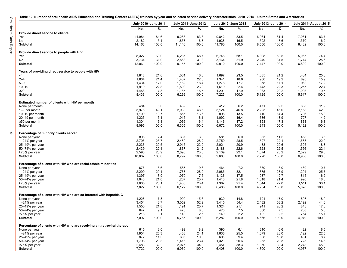$\ddot{4}$ 

<span id="page-44-0"></span>

|  |  |  |  | Table 12. Number of oral health AIDS Education and Training Centers (AETC) trainees by year and selected service delivery characteristics, 2010–2015—United States and 3 territories |  |  |  |  |  |  |  |  |  |  |  |  |  |  |  |
|--|--|--|--|--------------------------------------------------------------------------------------------------------------------------------------------------------------------------------------|--|--|--|--|--|--|--|--|--|--|--|--|--|--|--|
|--|--|--|--|--------------------------------------------------------------------------------------------------------------------------------------------------------------------------------------|--|--|--|--|--|--|--|--|--|--|--|--|--|--|--|

|                                                                         |        | July 2010-June 2011 | July 2011-June 2012 |       |        | July 2012-June 2013 |       | July 2013-June 2014 |       | <b>July 2014-August 2015</b> |
|-------------------------------------------------------------------------|--------|---------------------|---------------------|-------|--------|---------------------|-------|---------------------|-------|------------------------------|
|                                                                         | No.    | %                   | No.                 | %     | No.    | %                   | No.   | %                   | No.   | %                            |
| Provide direct service to clients                                       |        |                     |                     |       |        |                     |       |                     |       |                              |
| Yes                                                                     | 11,984 | 84.6                | 9,288               | 83.3  | 9,842  | 83.5                | 6,964 | 81.4                | 7,061 | 83.7                         |
| No                                                                      | 2,182  | 15.4                | 1,858               | 16.7  | 1,938  | 16.5                | 1,592 | 18.6                | 1,370 | 16.2                         |
| <b>Subtotal</b>                                                         | 14,166 | 100.0               | 11,146              | 100.0 | 11,780 | 100.0               | 8,556 | 100.0               | 8,432 | 100.0                        |
| Provide direct service to people with HIV                               |        |                     |                     |       |        |                     |       |                     |       |                              |
| Yes                                                                     | 8,327  | 69.0                | 6,287               | 68.7  | 6,746  | 68.1                | 4,898 | 68.5                | 5,065 | 74.4                         |
| No                                                                      | 3,734  | 31.0                | 2,868               | 31.3  | 3,164  | 31.9                | 2,249 | 31.5                | 1,744 | 25.6                         |
| <b>Subtotal</b>                                                         | 12,061 | 100.0               | 9,155               | 100.0 | 9,910  | 100.0               | 7,147 | 100.0               | 6,809 | 100.0                        |
| Years of providing direct service to people with HIV                    |        |                     |                     |       |        |                     |       |                     |       |                              |
| <1                                                                      | 1,818  | 21.6                | 1,061               | 16.8  | 1,697  | 23.5                | 1,085 | 21.2                | 1,404 | 25.0                         |
| $2 - 4$                                                                 | 1,804  | 21.4                | 1,407               | 22.3  | 1,341  | 18.6                | 986   | 19.2                | 895   | 15.9                         |
| $5 - 9$                                                                 | 1,434  | 17.0                | 1,162               | 18.4  | 1,278  | 17.7                | 878   | 17.1                | 968   | 17.2                         |
| $10 - 19$                                                               | 1,919  | 22.8                | 1,503               | 23.9  | 1,619  | 22.4                | 1,143 | 22.3                | 1,257 | 22.4                         |
| $\geq$ 20                                                               | 1,458  | 17.3                | 1,165               | 18.5  | 1,291  | 17.9                | 1,033 | 20.2                | 1,093 | 19.5                         |
| <b>Subtotal</b>                                                         | 8,433  | 100.0               | 6,299               | 100.0 | 7,225  | 100.0               | 5,125 | 100.0               | 5,617 | 100.0                        |
| Estimated number of clients with HIV per month                          |        |                     |                     |       |        |                     |       |                     |       |                              |
| None per month                                                          | 484    | 6.0                 | 459                 | 7.3   | 412    | 6.2                 | 471   | 9.5                 | 608   | 11.9                         |
| 1-9 per month                                                           | 3,976  | 49.1                | 2,938               | 46.6  | 3,124  | 46.8                | 2,223 | 45.0                | 2,168 | 42.3                         |
| 10-19 per month                                                         | 1,109  | 13.7                | 855                 | 13.6  | 898    | 13.5                | 710   | 14.4                | 786   | 15.3                         |
| 20-49 per month                                                         | 1,225  | 15.1                | 1,015               | 16.1  | 1,092  | 16.4                | 686   | 13.9                | 727   | 14.2                         |
| ≥50 per month                                                           | 1,301  | 16.1                | 1,036               | 16.4  | 1,146  | 17.2                | 853   | 17.3                | 833   | 16.3                         |
| <b>Subtotal</b>                                                         | 8,095  | 100.0               | 6,305               | 100.0 | 6,672  | 100.0               | 4,943 | 100.0               | 5,122 | 100.0                        |
| Percentage of minority clients served                                   |        |                     |                     |       |        |                     |       |                     |       |                              |
| None per year                                                           | 806    | 7.4                 | 337                 | 3.8   | 581    | 6.0                 | 833   | 11.5                | 458   | 6.6                          |
| $1-24%$ per year                                                        | 2,796  | 25.7                | 2,480               | 28.2  | 2,759  | 28.5                | 1,597 | 22.1                | 1,588 | 22.9                         |
| 25-49% per year                                                         | 2,233  | 20.5                | 2,015               | 22.9  | 2,021  | 20.9                | 1,488 | 20.6                | 1,305 | 18.8                         |
| 50-74% per year                                                         | 2,439  | 22.4                | 1,867               | 21.2  | 2,188  | 22.6                | 1,628 | 22.5                | 1,556 | 22.4                         |
| ≥75% per year                                                           | 2,593  | 23.9                | 2,093               | 23.8  | 2,139  | 22.1                | 1,674 | 23.2                | 2,029 | 29.3                         |
| <b>Subtotal</b>                                                         | 10,867 | 100.0               | 8,792               | 100.0 | 9,688  | 100.0               | 7,220 | 100.0               | 6,936 | 100.0                        |
| Percentage of clients with HIV who are racial-ethnic minorities         |        |                     |                     |       |        |                     |       |                     |       |                              |
| None per year                                                           | 676    | 8.6                 | 587                 | 9.6   | 464    | 7.2                 | 380   | 8.0                 | 489   | 9.7                          |
| $1-24%$ per year                                                        | 2,299  | 29.4                | 1,768               | 28.9  | 2,085  | 32.1                | 1,375 | 28.9                | 1,294 | 25.7                         |
| 25-49% per year                                                         | 1,397  | 17.9                | 1,070               | 17.5  | 1,136  | 17.5                | 937   | 19.7                | 815   | 16.2                         |
| 50-74% per year                                                         | 1,646  | 21.0                | 1,267               | 20.7  | 1,413  | 21.8                | 1,018 | 21.4                | 920   | 18.3                         |
| ≥75% per year                                                           | 1,805  | 23.1                | 1,430               | 23.4  | 1,387  | 21.4                | 1,044 | 22.0                | 1,511 | 30.1                         |
| <b>Subtotal</b>                                                         | 7,822  | 100.0               | 6,122               | 100.0 | 6,486  | 100.0               | 4,754 | 100.0               | 5,028 | 100.0                        |
| Percentage of clients with HIV who are co-infected with hepatitis C     |        |                     |                     |       |        |                     |       |                     |       |                              |
| None per year                                                           | 1,228  | 17.3                | 900                 | 15.6  | 930    | 14.8                | 791   | 17.0                | 897   | 18.0                         |
| 1-24% per year                                                          | 3,454  | 48.7                | 3,052               | 52.9  | 3,415  | 54.4                | 2,482 | 53.2                | 2,192 | 44.0                         |
| 25–49% per year                                                         | 1,550  | 21.8                | 1,191               | 20.7  | 1,324  | 21.1                | 941   | 20.2                | 848   | 17.0                         |
| 50-74% per year                                                         | 647    | 9.1                 | 478                 | 8.3   | 473    | 7.5                 | 350   | 7.5                 | 288   | 5.8                          |
| ≥75% per year                                                           | 218    | 3.1                 | 143                 | 2.5   | 140    | 2.2                 | 102   | 2.2                 | 754   | 15.1                         |
| <b>Subtotal</b>                                                         | 7,097  | 100.0               | 5,765               | 100.0 | 6,282  | 100.0               | 4,666 | 100.0               | 4,979 | 100.0                        |
| Percentage of clients with HIV who are receiving antiretroviral therapy |        |                     |                     |       |        |                     |       |                     |       |                              |
| None per year                                                           | 615    | 8.0                 | 499                 | 8.2   | 390    | 6.1                 | 310   | 6.6                 | 422   | 8.5                          |
| 1-24% per year                                                          | 1,954  | 25.3                | 1,463               | 24.1  | 1,636  | 25.5                | 1,079 | 23.0                | 1,122 | 22.5                         |
| 25-49% per year                                                         | 872    | 11.3                | 605                 | 10.0  | 605    | 9.4                 | 508   | 10.8                | 431   | 8.7                          |
| 50–74% per year                                                         | 1,798  | 23.3                | 1,416               | 23.4  | 1,323  | 20.6                | 953   | 20.3                | 725   | 14.6                         |
| ≥75% per year                                                           | 2,483  | 32.2                | 2,077               | 34.3  | 2,454  | 38.3                | 1,850 | 39.4                | 2,278 | 45.8                         |
| Subtotal                                                                | 7,722  | 100.0               | 6,060               | 100.0 | 6,408  | 100.0               | 4,700 | 100.0               | 4,977 | 100.0                        |